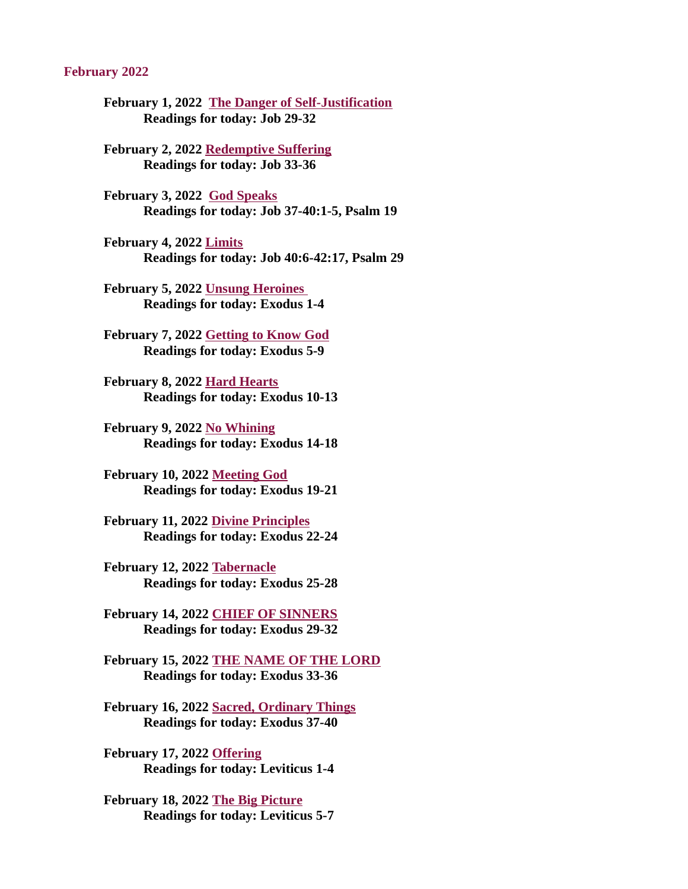#### <span id="page-0-0"></span>February 2022

- [February 1, 2022 The Danger of Self-Justification](#page-2-0) Readings for today: Job 29-32
- [February 2, 2022 Redemptive Suffering](#page-4-0) Readings for today: Job 33-36
- February 3, 2022 God Speaks [Readings for today: Job 37-40:1-5, Psalm 19](#page-6-0)
- February 4, 2022 Limits [Readings for today: Job 40:6-42:17, Psalm 29](#page-8-0)
- [February 5, 2022 Unsung Heroines](#page-9-0)  Readings for today: Exodus 1-4
- [February 7, 2022 Getting to Know God](#page-11-0) Readings for today: Exodus 5-9
- February 8, 2022 Hard Hearts [Readings for today: Exodus 10-13](#page-13-0)
- February 9, 2022 No Whining [Readings for today: Exodus 14-18](#page-15-0)
- February 10, 2022 Meeting God [Readings for today: Exodus 19-21](#page-17-0)
- [February 11, 2022 Divine Principles](#page-19-0) Readings for today: Exodus 22-24
- February 12, 2022 Tabernacle [Readings for today: Exodus 25-28](#page-21-0)
- [February 14, 2022 CHIEF OF SINNERS](#page-22-0) Readings for today: Exodus 29-32
- [February 15, 2022 THE NAME OF THE LORD](#page-23-0) Readings for today: Exodus 33-36
- [February 16, 2022 Sacred, Ordinary Things](#page-25-0) Readings for today: Exodus 37-40
- February 17, 2022 Offering [Readings for today: Leviticus 1-4](#page-27-0)
- [February 18, 2022 The Big Picture](#page-29-0) Readings for today: Leviticus 5-7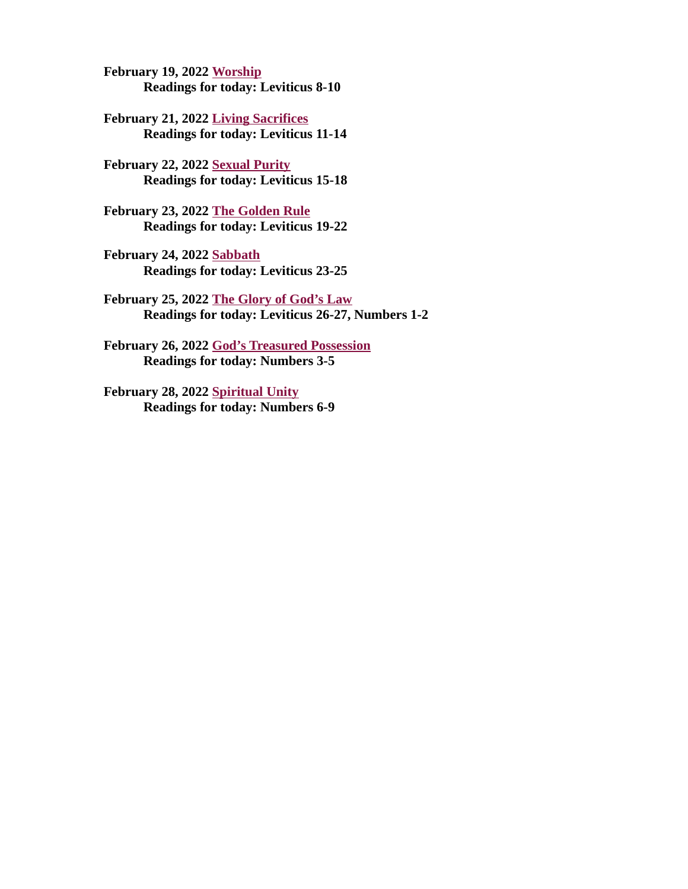February 19, 2022 Worship [Readings for today: Leviticus 8-10](#page-31-0)

[February 21, 2022 Living Sacrifices](#page-33-0) Readings for today: Leviticus 11-14

February 22, 2022 Sexual Purity [Readings for today: Leviticus 15-18](#page-35-0)

[February 23, 2022 The Golden Rule](#page-37-0) Readings for today: Leviticus 19-22

February 24, 2022 Sabbath [Readings for today: Leviticus 23-25](#page-38-0)

February 25, 2022 The Glory of God's Law [Readings for today: Leviticus 26-27, Numbers 1-2](#page-39-0)

[February 26, 2022 God's Treasured Possession](#page-41-0) Readings for today: Numbers 3-5

[February 28, 2022 Spiritual Unity](#page-43-0) Readings for today: Numbers 6-9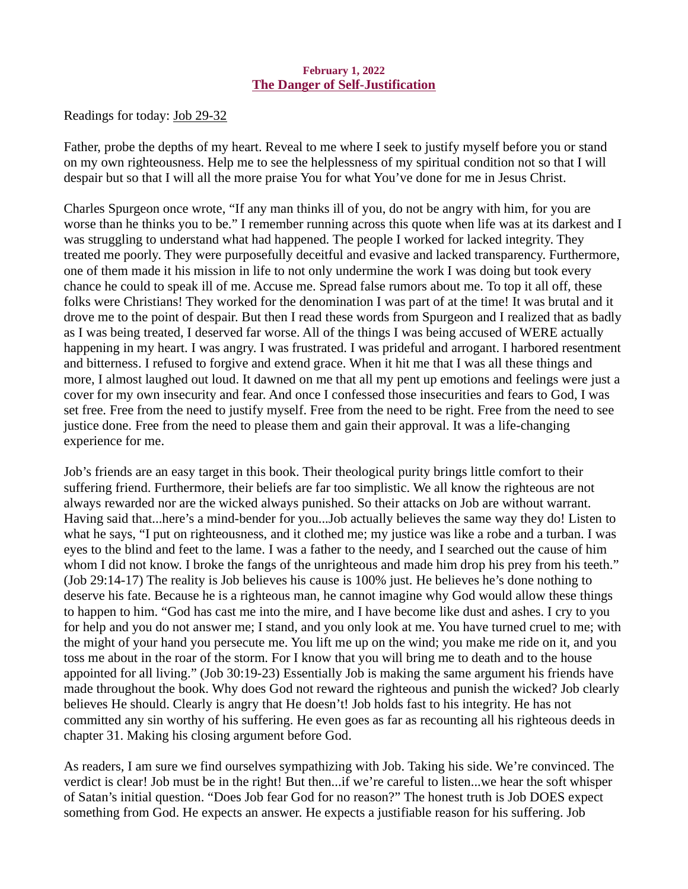### February 1, 2022 The Danger of Self-Justification

<span id="page-2-0"></span>Readings for toda[y: Job 29-32](https://www.biblegateway.com/passage/?search=Job+29-32&version=ESV)

Father, probe the depths of my heart. Reveal to me where I seek to justify myself before you or stand on my own righteousness. Help me to see the helplessness of my spiritual condition not so that I will despair but so that I will all the more praise You for what You've done for me in Jesus Christ.

Charles Spurgeon once wrote, "If any man thinks ill of you, do not be angry with him, for you are worse than he thinks you to be." I remember running across this quote when life was at its darkest and I was struggling to understand what had happened. The people I worked for lacked integrity. They treated me poorly. They were purposefully deceitful and evasive and lacked transparency. Furthermore, one of them made it his mission in life to not only undermine the work I was doing but took every chance he could to speak ill of me. Accuse me. Spread false rumors about me. To top it all off, these folks were Christians! They worked for the denomination I was part of at the time! It was brutal and it drove me to the point of despair. But then I read these words from Spurgeon and I realized that as badly as I was being treated, I deserved far worse. All of the things I was being accused of WERE actually happening in my heart. I was angry. I was frustrated. I was prideful and arrogant. I harbored resentment and bitterness. I refused to forgive and extend grace. When it hit me that I was all these things and more, I almost laughed out loud. It dawned on me that all my pent up emotions and feelings were just a cover for my own insecurity and fear. And once I confessed those insecurities and fears to God, I was set free. Free from the need to justify myself. Free from the need to be right. Free from the need to see justice done. Free from the need to please them and gain their approval. It was a life-changing experience for me.

Job's friends are an easy target in this book. Their theological purity brings little comfort to their suffering friend. Furthermore, their beliefs are far too simplistic. We all know the righteous are not always rewarded nor are the wicked always punished. So their attacks on Job are without warrant. Having said that...here's a mind-bender for you...Job actually believes the same way they do! Listen to what he says, "I put on righteousness, and it clothed me; my justice was like a robe and a turban. I was eyes to the blind and feet to the lame. I was a father to the needy, and I searched out the cause of him whom I did not know. I broke the fangs of the unrighteous and made him drop his prey from his teeth." (Job 29:14-17) The reality is Job believes his cause is 100% just. He believes he's done nothing to deserve his fate. Because he is a righteous man, he cannot imagine why God would allow these things to happen to him. "God has cast me into the mire, and I have become like dust and ashes. I cry to you for help and you do not answer me; I stand, and you only look at me. You have turned cruel to me; with the might of your hand you persecute me. You lift me up on the wind; you make me ride on it, and you toss me about in the roar of the storm. For I know that you will bring me to death and to the house appointed for all living." (Job 30:19-23) Essentially Job is making the same argument his friends have made throughout the book. Why does God not reward the righteous and punish the wicked? Job clearly believes He should. Clearly is angry that He doesn't! Job holds fast to his integrity. He has not committed any sin worthy of his suffering. He even goes as far as recounting all his righteous deeds in chapter 31. Making his closing argument before God.

As readers, I am sure we find ourselves sympathizing with Job. Taking his side. We're convinced. The verdict is clear! Job must be in the right! But then...if we're careful to listen...we hear the soft whisper of Satan's initial question. "Does Job fear God for no reason?" The honest truth is Job DOES expect something from God. He expects an answer. He expects a justifiable reason for his suffering. Job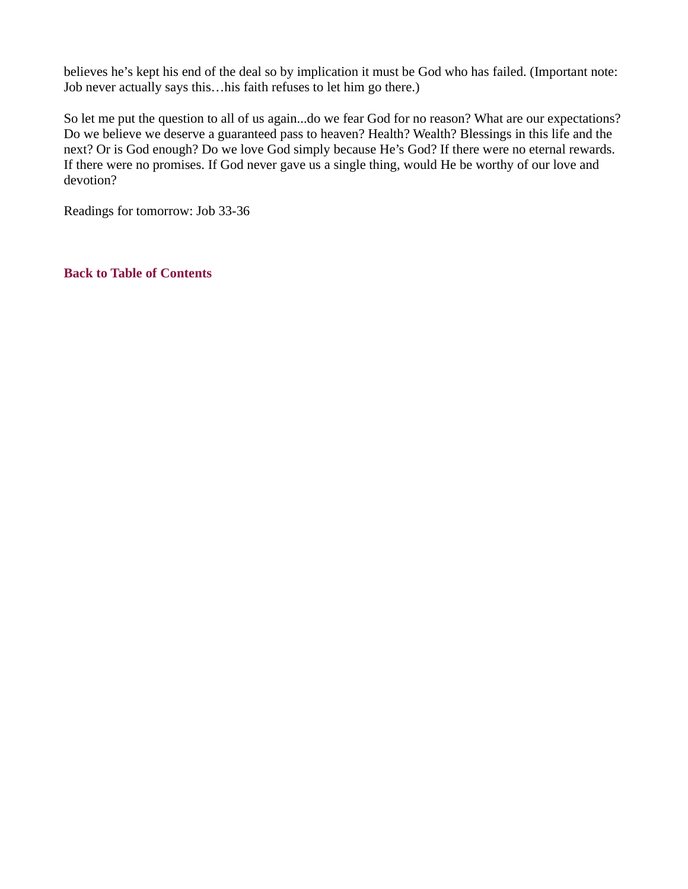believes he's kept his end of the deal so by implication it must be God who has failed. (Important note: Job never actually says this…his faith refuses to let him go there.)

So let me put the question to all of us again...do we fear God for no reason? What are our expectations? Do we believe we deserve a guaranteed pass to heaven? Health? Wealth? Blessings in this life and the next? Or is God enough? Do we love God simply because He's God? If there were no eternal rewards. If there were no promises. If God never gave us a single thing, would He be worthy of our love and devotion?

Readings for tomorrow: Job 33-36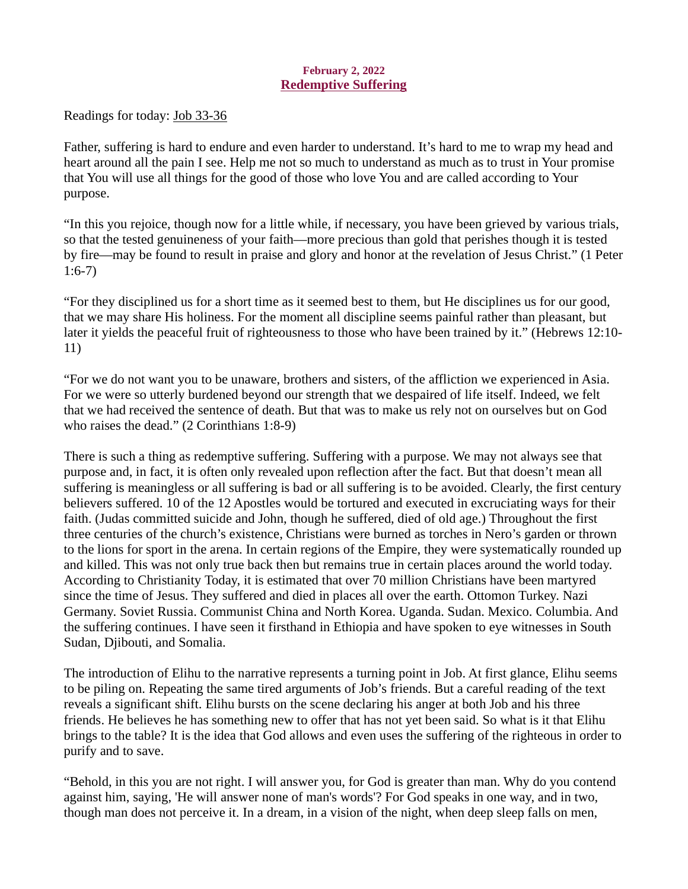## February 2, 2022 Redemptive Suffering

<span id="page-4-0"></span>[Readings for today: Job 33-36](https://www.biblegateway.com/passage/?search=Job+33-36&version=ESV)

Father, suffering is hard to endure and even harder to understand. It's hard to me to wrap my head and heart around all the pain I see. Help me not so much to understand as much as to trust in Your promise that You will use all things for the good of those who love You and are called according to Your purpose.

"In this you rejoice, though now for a little while, if necessary, you have been grieved by various trials, so that the tested genuineness of your faith—more precious than gold that perishes though it is tested by fire—may be found to result in praise and glory and honor at the revelation of Jesus Christ." (1 Peter 1:6-7)

"For they disciplined us for a short time as it seemed best to them, but He disciplines us for our good, that we may share His holiness. For the moment all discipline seems painful rather than pleasant, but later it yields the peaceful fruit of righteousness to those who have been trained by it." (Hebrews 12:10- 11)

"For we do not want you to be unaware, brothers and sisters, of the affliction we experienced in Asia. For we were so utterly burdened beyond our strength that we despaired of life itself. Indeed, we felt that we had received the sentence of death. But that was to make us rely not on ourselves but on God who raises the dead." (2 Corinthians 1:8-9)

There is such a thing as redemptive suffering. Suffering with a purpose. We may not always see that purpose and, in fact, it is often only revealed upon reflection after the fact. But that doesn't mean all suffering is meaningless or all suffering is bad or all suffering is to be avoided. Clearly, the first century believers suffered. 10 of the 12 Apostles would be tortured and executed in excruciating ways for their faith. (Judas committed suicide and John, though he suffered, died of old age.) Throughout the first three centuries of the church's existence, Christians were burned as torches in Nero's garden or thrown to the lions for sport in the arena. In certain regions of the Empire, they were systematically rounded up and killed. This was not only true back then but remains true in certain places around the world today. According to Christianity Today, it is estimated that over 70 million Christians have been martyred since the time of Jesus. They suffered and died in places all over the earth. Ottomon Turkey. Nazi Germany. Soviet Russia. Communist China and North Korea. Uganda. Sudan. Mexico. Columbia. And the suffering continues. I have seen it firsthand in Ethiopia and have spoken to eye witnesses in South Sudan, Djibouti, and Somalia.

The introduction of Elihu to the narrative represents a turning point in Job. At first glance, Elihu seems to be piling on. Repeating the same tired arguments of Job's friends. But a careful reading of the text reveals a significant shift. Elihu bursts on the scene declaring his anger at both Job and his three friends. He believes he has something new to offer that has not yet been said. So what is it that Elihu brings to the table? It is the idea that God allows and even uses the suffering of the righteous in order to purify and to save.

"Behold, in this you are not right. I will answer you, for God is greater than man. Why do you contend against him, saying, 'He will answer none of man's words'? For God speaks in one way, and in two, though man does not perceive it. In a dream, in a vision of the night, when deep sleep falls on men,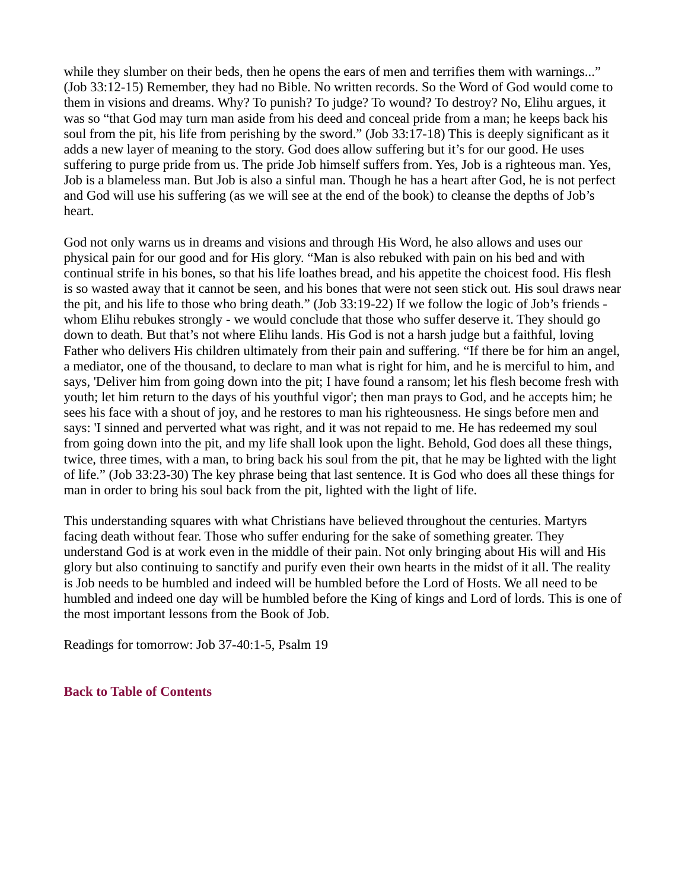while they slumber on their beds, then he opens the ears of men and terrifies them with warnings..." (Job 33:12-15) Remember, they had no Bible. No written records. So the Word of God would come to them in visions and dreams. Why? To punish? To judge? To wound? To destroy? No, Elihu argues, it was so "that God may turn man aside from his deed and conceal pride from a man; he keeps back his soul from the pit, his life from perishing by the sword." (Job 33:17-18) This is deeply significant as it adds a new layer of meaning to the story. God does allow suffering but it's for our good. He uses suffering to purge pride from us. The pride Job himself suffers from. Yes, Job is a righteous man. Yes, Job is a blameless man. But Job is also a sinful man. Though he has a heart after God, he is not perfect and God will use his suffering (as we will see at the end of the book) to cleanse the depths of Job's heart.

God not only warns us in dreams and visions and through His Word, he also allows and uses our physical pain for our good and for His glory. "Man is also rebuked with pain on his bed and with continual strife in his bones, so that his life loathes bread, and his appetite the choicest food. His flesh is so wasted away that it cannot be seen, and his bones that were not seen stick out. His soul draws near the pit, and his life to those who bring death." (Job 33:19-22) If we follow the logic of Job's friends whom Elihu rebukes strongly - we would conclude that those who suffer deserve it. They should go down to death. But that's not where Elihu lands. His God is not a harsh judge but a faithful, loving Father who delivers His children ultimately from their pain and suffering. "If there be for him an angel, a mediator, one of the thousand, to declare to man what is right for him, and he is merciful to him, and says, 'Deliver him from going down into the pit; I have found a ransom; let his flesh become fresh with youth; let him return to the days of his youthful vigor'; then man prays to God, and he accepts him; he sees his face with a shout of joy, and he restores to man his righteousness. He sings before men and says: 'I sinned and perverted what was right, and it was not repaid to me. He has redeemed my soul from going down into the pit, and my life shall look upon the light. Behold, God does all these things, twice, three times, with a man, to bring back his soul from the pit, that he may be lighted with the light of life." (Job 33:23-30) The key phrase being that last sentence. It is God who does all these things for man in order to bring his soul back from the pit, lighted with the light of life.

This understanding squares with what Christians have believed throughout the centuries. Martyrs facing death without fear. Those who suffer enduring for the sake of something greater. They understand God is at work even in the middle of their pain. Not only bringing about His will and His glory but also continuing to sanctify and purify even their own hearts in the midst of it all. The reality is Job needs to be humbled and indeed will be humbled before the Lord of Hosts. We all need to be humbled and indeed one day will be humbled before the King of kings and Lord of lords. This is one of the most important lessons from the Book of Job.

Readings for tomorrow: Job 37-40:1-5, Psalm 19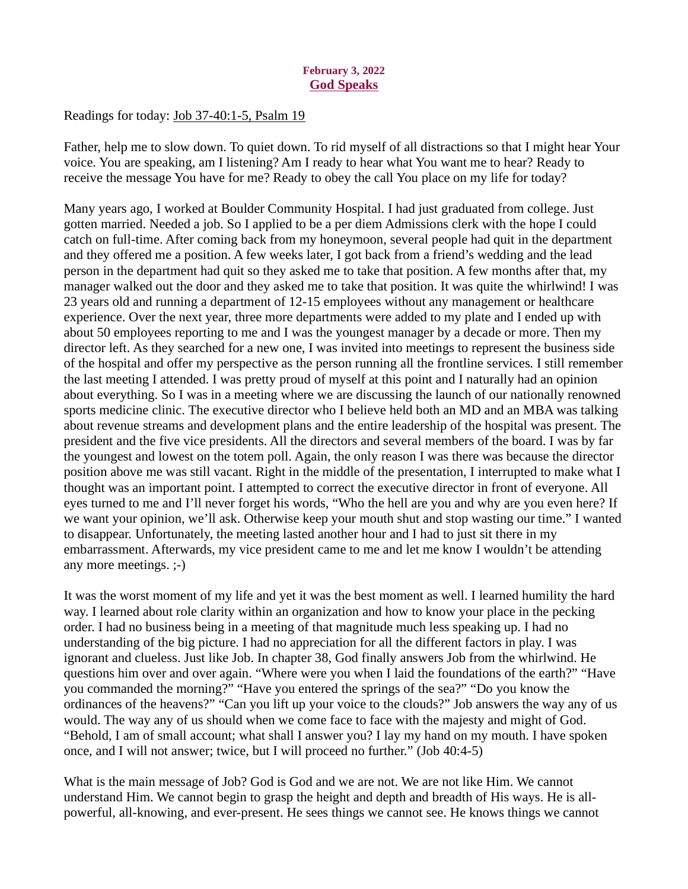## February 3, 2022 God Speaks

<span id="page-6-0"></span>[Readings for today: Job 37-40:1-5, Psalm 19](https://www.biblegateway.com/passage/?search=Job+37%2C38%2C39%2C40%3A+1-5%3B+Psalm+19&version=ESV)

Father, help me to slow down. To quiet down. To rid myself of all distractions so that I might hear Your voice. You are speaking, am I listening? Am I ready to hear what You want me to hear? Ready to receive the message You have for me? Ready to obey the call You place on my life for today?

Many years ago, I worked at Boulder Community Hospital. I had just graduated from college. Just gotten married. Needed a job. So I applied to be a per diem Admissions clerk with the hope I could catch on full-time. After coming back from my honeymoon, several people had quit in the department and they offered me a position. A few weeks later, I got back from a friend's wedding and the lead person in the department had quit so they asked me to take that position. A few months after that, my manager walked out the door and they asked me to take that position. It was quite the whirlwind! I was 23 years old and running a department of 12-15 employees without any management or healthcare experience. Over the next year, three more departments were added to my plate and I ended up with about 50 employees reporting to me and I was the youngest manager by a decade or more. Then my director left. As they searched for a new one, I was invited into meetings to represent the business side of the hospital and offer my perspective as the person running all the frontline services. I still remember the last meeting I attended. I was pretty proud of myself at this point and I naturally had an opinion about everything. So I was in a meeting where we are discussing the launch of our nationally renowned sports medicine clinic. The executive director who I believe held both an MD and an MBA was talking about revenue streams and development plans and the entire leadership of the hospital was present. The president and the five vice presidents. All the directors and several members of the board. I was by far the youngest and lowest on the totem poll. Again, the only reason I was there was because the director position above me was still vacant. Right in the middle of the presentation, I interrupted to make what I thought was an important point. I attempted to correct the executive director in front of everyone. All eyes turned to me and I'll never forget his words, "Who the hell are you and why are you even here? If we want your opinion, we'll ask. Otherwise keep your mouth shut and stop wasting our time." I wanted to disappear. Unfortunately, the meeting lasted another hour and I had to just sit there in my embarrassment. Afterwards, my vice president came to me and let me know I wouldn't be attending any more meetings. ;-)

It was the worst moment of my life and yet it was the best moment as well. I learned humility the hard way. I learned about role clarity within an organization and how to know your place in the pecking order. I had no business being in a meeting of that magnitude much less speaking up. I had no understanding of the big picture. I had no appreciation for all the different factors in play. I was ignorant and clueless. Just like Job. In chapter 38, God finally answers Job from the whirlwind. He questions him over and over again. "Where were you when I laid the foundations of the earth?" "Have you commanded the morning?" "Have you entered the springs of the sea?" "Do you know the ordinances of the heavens?" "Can you lift up your voice to the clouds?" Job answers the way any of us would. The way any of us should when we come face to face with the majesty and might of God. "Behold, I am of small account; what shall I answer you? I lay my hand on my mouth. I have spoken once, and I will not answer; twice, but I will proceed no further." (Job 40:4-5)

What is the main message of Job? God is God and we are not. We are not like Him. We cannot understand Him. We cannot begin to grasp the height and depth and breadth of His ways. He is allpowerful, all-knowing, and ever-present. He sees things we cannot see. He knows things we cannot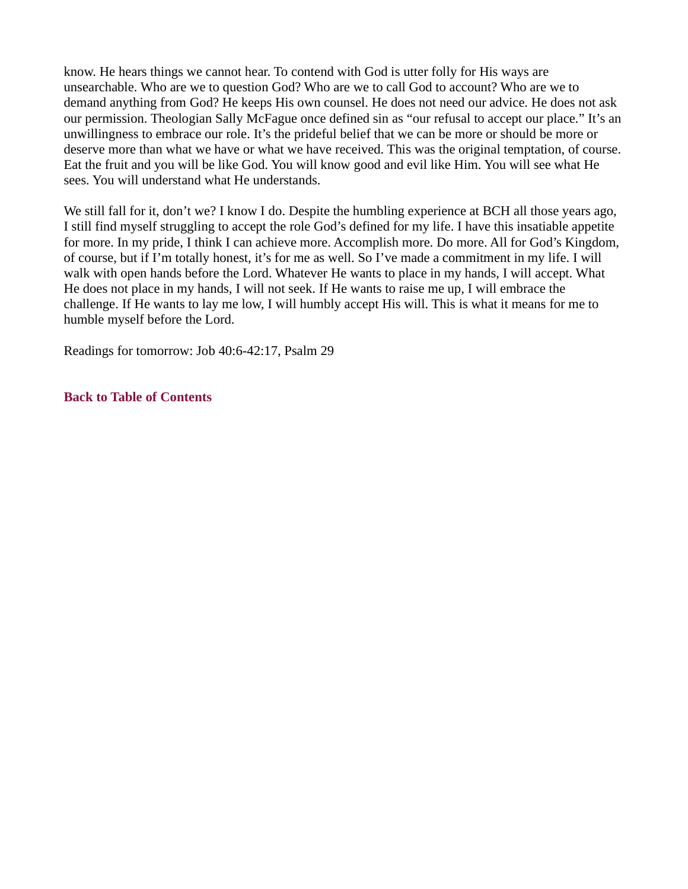know. He hears things we cannot hear. To contend with God is utter folly for His ways are unsearchable. Who are we to question God? Who are we to call God to account? Who are we to demand anything from God? He keeps His own counsel. He does not need our advice. He does not ask our permission. Theologian Sally McFague once defined sin as "our refusal to accept our place." It's an unwillingness to embrace our role. It's the prideful belief that we can be more or should be more or deserve more than what we have or what we have received. This was the original temptation, of course. Eat the fruit and you will be like God. You will know good and evil like Him. You will see what He sees. You will understand what He understands.

We still fall for it, don't we? I know I do. Despite the humbling experience at BCH all those years ago, I still find myself struggling to accept the role God's defined for my life. I have this insatiable appetite for more. In my pride, I think I can achieve more. Accomplish more. Do more. All for God's Kingdom, of course, but if I'm totally honest, it's for me as well. So I've made a commitment in my life. I will walk with open hands before the Lord. Whatever He wants to place in my hands, I will accept. What He does not place in my hands, I will not seek. If He wants to raise me up, I will embrace the challenge. If He wants to lay me low, I will humbly accept His will. This is what it means for me to humble myself before the Lord.

Readings for tomorrow: Job 40:6-42:17, Psalm 29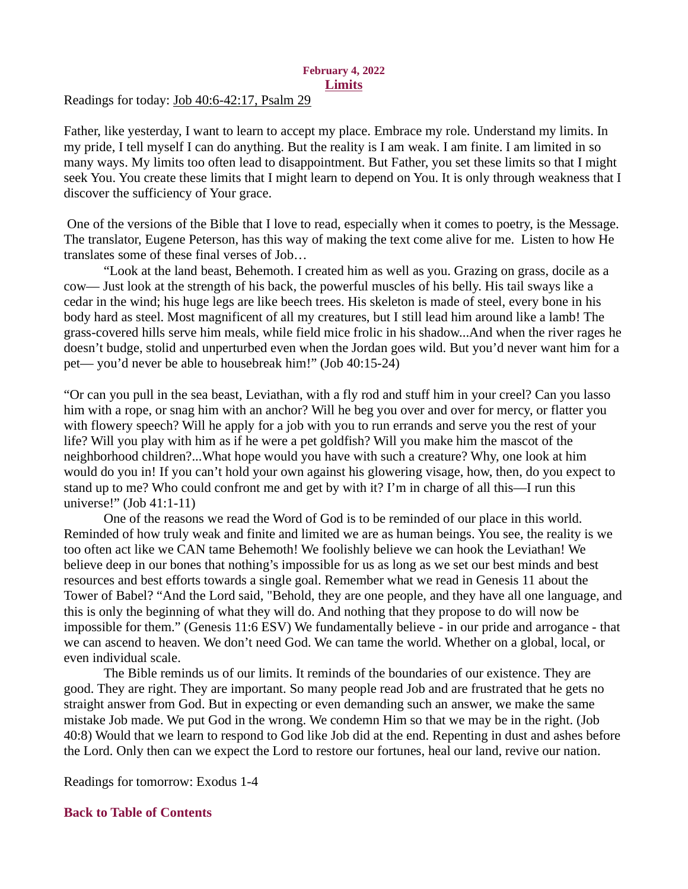#### February 4, 2022 Limits

<span id="page-8-0"></span>[Readings for today: Job 40:6-42:17, Psalm 29](https://www.biblegateway.com/passage/?search=Job+40%3A6-42%3A17%2C+Psalm+29&version=ESV)

Father, like yesterday, I want to learn to accept my place. Embrace my role. Understand my limits. In my pride, I tell myself I can do anything. But the reality is I am weak. I am finite. I am limited in so many ways. My limits too often lead to disappointment. But Father, you set these limits so that I might seek You. You create these limits that I might learn to depend on You. It is only through weakness that I discover the sufficiency of Your grace.

 One of the versions of the Bible that I love to read, especially when it comes to poetry, is the Message. The translator, Eugene Peterson, has this way of making the text come alive for me. Listen to how He translates some of these final verses of Job…

"Look at the land beast, Behemoth. I created him as well as you. Grazing on grass, docile as a cow— Just look at the strength of his back, the powerful muscles of his belly. His tail sways like a cedar in the wind; his huge legs are like beech trees. His skeleton is made of steel, every bone in his body hard as steel. Most magnificent of all my creatures, but I still lead him around like a lamb! The grass-covered hills serve him meals, while field mice frolic in his shadow...And when the river rages he doesn't budge, stolid and unperturbed even when the Jordan goes wild. But you'd never want him for a pet— you'd never be able to housebreak him!" (Job 40:15-24)

"Or can you pull in the sea beast, Leviathan, with a fly rod and stuff him in your creel? Can you lasso him with a rope, or snag him with an anchor? Will he beg you over and over for mercy, or flatter you with flowery speech? Will he apply for a job with you to run errands and serve you the rest of your life? Will you play with him as if he were a pet goldfish? Will you make him the mascot of the neighborhood children?...What hope would you have with such a creature? Why, one look at him would do you in! If you can't hold your own against his glowering visage, how, then, do you expect to stand up to me? Who could confront me and get by with it? I'm in charge of all this—I run this universe!" (Job 41:1-11)

One of the reasons we read the Word of God is to be reminded of our place in this world. Reminded of how truly weak and finite and limited we are as human beings. You see, the reality is we too often act like we CAN tame Behemoth! We foolishly believe we can hook the Leviathan! We believe deep in our bones that nothing's impossible for us as long as we set our best minds and best resources and best efforts towards a single goal. Remember what we read in Genesis 11 about the Tower of Babel? "And the Lord said, "Behold, they are one people, and they have all one language, and this is only the beginning of what they will do. And nothing that they propose to do will now be impossible for them." (Genesis 11:6 ESV) We fundamentally believe - in our pride and arrogance - that we can ascend to heaven. We don't need God. We can tame the world. Whether on a global, local, or even individual scale.

The Bible reminds us of our limits. It reminds of the boundaries of our existence. They are good. They are right. They are important. So many people read Job and are frustrated that he gets no straight answer from God. But in expecting or even demanding such an answer, we make the same mistake Job made. We put God in the wrong. We condemn Him so that we may be in the right. (Job 40:8) Would that we learn to respond to God like Job did at the end. Repenting in dust and ashes before the Lord. Only then can we expect the Lord to restore our fortunes, heal our land, revive our nation.

Readings for tomorrow: Exodus 1-4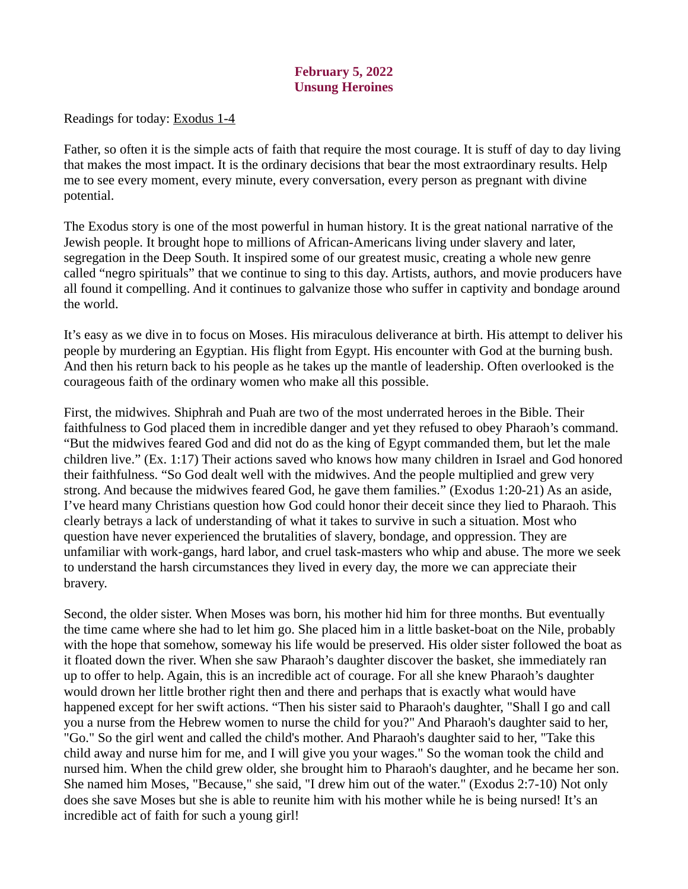# February 5, 2022 Unsung Heroines

<span id="page-9-0"></span>[Readings for today: Exodus 1-4](https://www.biblegateway.com/passage/?search=Exodus+1-4&version=ESV)

Father, so often it is the simple acts of faith that require the most courage. It is stuff of day to day living that makes the most impact. It is the ordinary decisions that bear the most extraordinary results. Help me to see every moment, every minute, every conversation, every person as pregnant with divine potential.

The Exodus story is one of the most powerful in human history. It is the great national narrative of the Jewish people. It brought hope to millions of African-Americans living under slavery and later, segregation in the Deep South. It inspired some of our greatest music, creating a whole new genre called "negro spirituals" that we continue to sing to this day. Artists, authors, and movie producers have all found it compelling. And it continues to galvanize those who suffer in captivity and bondage around the world.

It's easy as we dive in to focus on Moses. His miraculous deliverance at birth. His attempt to deliver his people by murdering an Egyptian. His flight from Egypt. His encounter with God at the burning bush. And then his return back to his people as he takes up the mantle of leadership. Often overlooked is the courageous faith of the ordinary women who make all this possible.

First, the midwives. Shiphrah and Puah are two of the most underrated heroes in the Bible. Their faithfulness to God placed them in incredible danger and yet they refused to obey Pharaoh's command. "But the midwives feared God and did not do as the king of Egypt commanded them, but let the male children live." (Ex. 1:17) Their actions saved who knows how many children in Israel and God honored their faithfulness. "So God dealt well with the midwives. And the people multiplied and grew very strong. And because the midwives feared God, he gave them families." (Exodus 1:20-21) As an aside, I've heard many Christians question how God could honor their deceit since they lied to Pharaoh. This clearly betrays a lack of understanding of what it takes to survive in such a situation. Most who question have never experienced the brutalities of slavery, bondage, and oppression. They are unfamiliar with work-gangs, hard labor, and cruel task-masters who whip and abuse. The more we seek to understand the harsh circumstances they lived in every day, the more we can appreciate their bravery.

Second, the older sister. When Moses was born, his mother hid him for three months. But eventually the time came where she had to let him go. She placed him in a little basket-boat on the Nile, probably with the hope that somehow, someway his life would be preserved. His older sister followed the boat as it floated down the river. When she saw Pharaoh's daughter discover the basket, she immediately ran up to offer to help. Again, this is an incredible act of courage. For all she knew Pharaoh's daughter would drown her little brother right then and there and perhaps that is exactly what would have happened except for her swift actions. "Then his sister said to Pharaoh's daughter, "Shall I go and call you a nurse from the Hebrew women to nurse the child for you?" And Pharaoh's daughter said to her, "Go." So the girl went and called the child's mother. And Pharaoh's daughter said to her, "Take this child away and nurse him for me, and I will give you your wages." So the woman took the child and nursed him. When the child grew older, she brought him to Pharaoh's daughter, and he became her son. She named him Moses, "Because," she said, "I drew him out of the water." (Exodus 2:7-10) Not only does she save Moses but she is able to reunite him with his mother while he is being nursed! It's an incredible act of faith for such a young girl!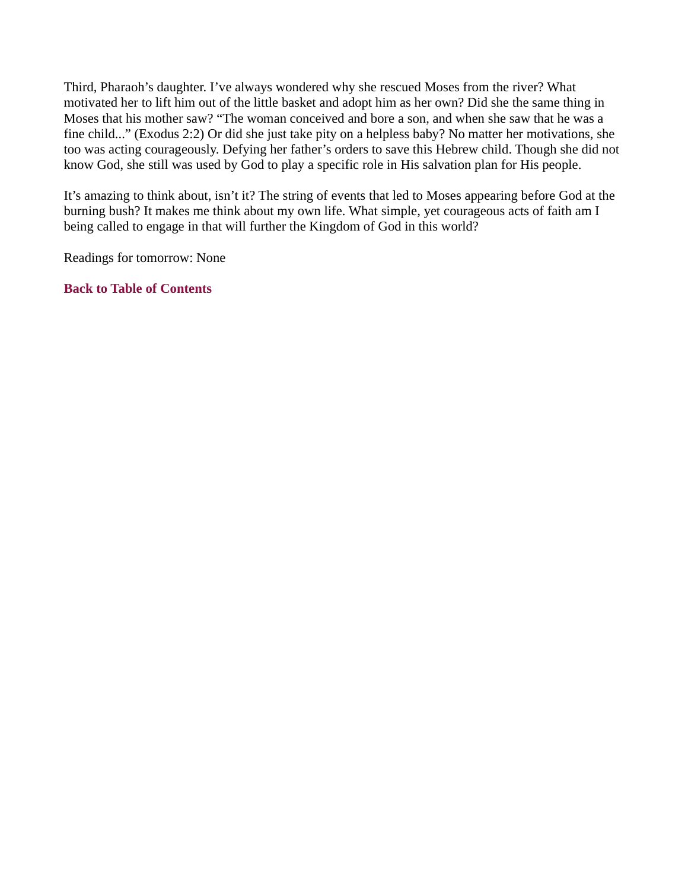Third, Pharaoh's daughter. I've always wondered why she rescued Moses from the river? What motivated her to lift him out of the little basket and adopt him as her own? Did she the same thing in Moses that his mother saw? "The woman conceived and bore a son, and when she saw that he was a fine child..." (Exodus 2:2) Or did she just take pity on a helpless baby? No matter her motivations, she too was acting courageously. Defying her father's orders to save this Hebrew child. Though she did not know God, she still was used by God to play a specific role in His salvation plan for His people.

It's amazing to think about, isn't it? The string of events that led to Moses appearing before God at the burning bush? It makes me think about my own life. What simple, yet courageous acts of faith am I being called to engage in that will further the Kingdom of God in this world?

Readings for tomorrow: None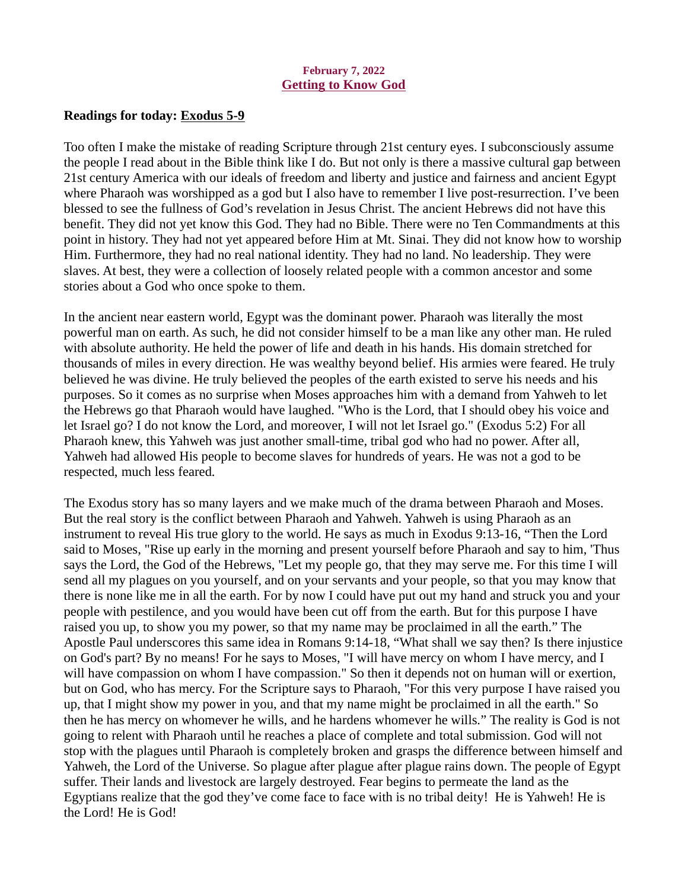## February 7, 2022 Getting to Know God

## <span id="page-11-0"></span>[Readings for today: Exodus 5-9](https://www.biblegateway.com/passage/?search=Exodus+5-9&version=ESV)

Too often I make the mistake of reading Scripture through 21st century eyes. I subconsciously assume the people I read about in the Bible think like I do. But not only is there a massive cultural gap between 21st century America with our ideals of freedom and liberty and justice and fairness and ancient Egypt where Pharaoh was worshipped as a god but I also have to remember I live post-resurrection. I've been blessed to see the fullness of God's revelation in Jesus Christ. The ancient Hebrews did not have this benefit. They did not yet know this God. They had no Bible. There were no Ten Commandments at this point in history. They had not yet appeared before Him at Mt. Sinai. They did not know how to worship Him. Furthermore, they had no real national identity. They had no land. No leadership. They were slaves. At best, they were a collection of loosely related people with a common ancestor and some stories about a God who once spoke to them.

In the ancient near eastern world, Egypt was the dominant power. Pharaoh was literally the most powerful man on earth. As such, he did not consider himself to be a man like any other man. He ruled with absolute authority. He held the power of life and death in his hands. His domain stretched for thousands of miles in every direction. He was wealthy beyond belief. His armies were feared. He truly believed he was divine. He truly believed the peoples of the earth existed to serve his needs and his purposes. So it comes as no surprise when Moses approaches him with a demand from Yahweh to let the Hebrews go that Pharaoh would have laughed. "Who is the Lord, that I should obey his voice and let Israel go? I do not know the Lord, and moreover, I will not let Israel go." (Exodus 5:2) For all Pharaoh knew, this Yahweh was just another small-time, tribal god who had no power. After all, Yahweh had allowed His people to become slaves for hundreds of years. He was not a god to be respected, much less feared.

The Exodus story has so many layers and we make much of the drama between Pharaoh and Moses. But the real story is the conflict between Pharaoh and Yahweh. Yahweh is using Pharaoh as an instrument to reveal His true glory to the world. He says as much in Exodus 9:13-16, "Then the Lord said to Moses, "Rise up early in the morning and present yourself before Pharaoh and say to him, 'Thus says the Lord, the God of the Hebrews, "Let my people go, that they may serve me. For this time I will send all my plagues on you yourself, and on your servants and your people, so that you may know that there is none like me in all the earth. For by now I could have put out my hand and struck you and your people with pestilence, and you would have been cut off from the earth. But for this purpose I have raised you up, to show you my power, so that my name may be proclaimed in all the earth." The Apostle Paul underscores this same idea in Romans 9:14-18, "What shall we say then? Is there injustice on God's part? By no means! For he says to Moses, "I will have mercy on whom I have mercy, and I will have compassion on whom I have compassion." So then it depends not on human will or exertion, but on God, who has mercy. For the Scripture says to Pharaoh, "For this very purpose I have raised you up, that I might show my power in you, and that my name might be proclaimed in all the earth." So then he has mercy on whomever he wills, and he hardens whomever he wills." The reality is God is not going to relent with Pharaoh until he reaches a place of complete and total submission. God will not stop with the plagues until Pharaoh is completely broken and grasps the difference between himself and Yahweh, the Lord of the Universe. So plague after plague after plague rains down. The people of Egypt suffer. Their lands and livestock are largely destroyed. Fear begins to permeate the land as the Egyptians realize that the god they've come face to face with is no tribal deity! He is Yahweh! He is the Lord! He is God!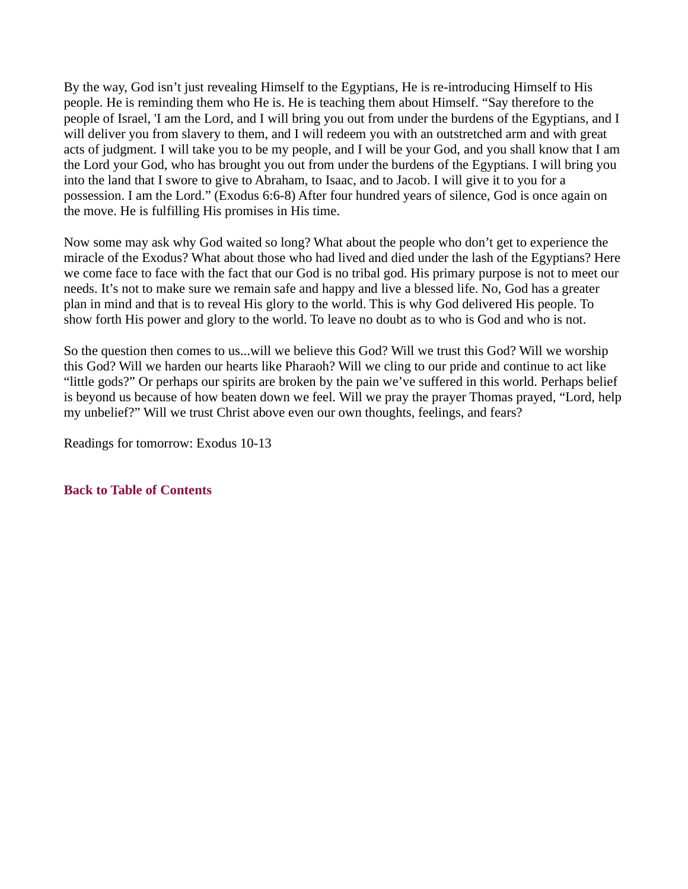By the way, God isn't just revealing Himself to the Egyptians, He is re-introducing Himself to His people. He is reminding them who He is. He is teaching them about Himself. "Say therefore to the people of Israel, 'I am the Lord, and I will bring you out from under the burdens of the Egyptians, and I will deliver you from slavery to them, and I will redeem you with an outstretched arm and with great acts of judgment. I will take you to be my people, and I will be your God, and you shall know that I am the Lord your God, who has brought you out from under the burdens of the Egyptians. I will bring you into the land that I swore to give to Abraham, to Isaac, and to Jacob. I will give it to you for a possession. I am the Lord." (Exodus 6:6-8) After four hundred years of silence, God is once again on the move. He is fulfilling His promises in His time.

Now some may ask why God waited so long? What about the people who don't get to experience the miracle of the Exodus? What about those who had lived and died under the lash of the Egyptians? Here we come face to face with the fact that our God is no tribal god. His primary purpose is not to meet our needs. It's not to make sure we remain safe and happy and live a blessed life. No, God has a greater plan in mind and that is to reveal His glory to the world. This is why God delivered His people. To show forth His power and glory to the world. To leave no doubt as to who is God and who is not.

So the question then comes to us...will we believe this God? Will we trust this God? Will we worship this God? Will we harden our hearts like Pharaoh? Will we cling to our pride and continue to act like "little gods?" Or perhaps our spirits are broken by the pain we've suffered in this world. Perhaps belief is beyond us because of how beaten down we feel. Will we pray the prayer Thomas prayed, "Lord, help my unbelief?" Will we trust Christ above even our own thoughts, feelings, and fears?

Readings for tomorrow: Exodus 10-13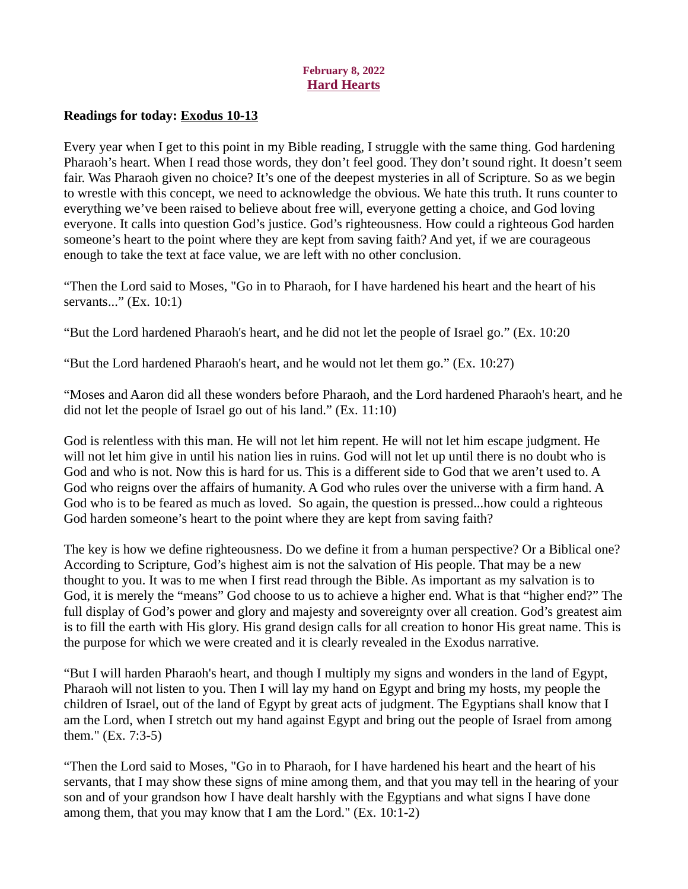## February 8, 2022 Hard Hearts

## <span id="page-13-0"></span>[Readings for today: Exodus 10-13](https://www.biblegateway.com/passage/?search=Exodus+10-13&version=ESV)

Every year when I get to this point in my Bible reading, I struggle with the same thing. God hardening Pharaoh's heart. When I read those words, they don't feel good. They don't sound right. It doesn't seem fair. Was Pharaoh given no choice? It's one of the deepest mysteries in all of Scripture. So as we begin to wrestle with this concept, we need to acknowledge the obvious. We hate this truth. It runs counter to everything we've been raised to believe about free will, everyone getting a choice, and God loving everyone. It calls into question God's justice. God's righteousness. How could a righteous God harden someone's heart to the point where they are kept from saving faith? And yet, if we are courageous enough to take the text at face value, we are left with no other conclusion.

"Then the Lord said to Moses, "Go in to Pharaoh, for I have hardened his heart and the heart of his servants..." (Ex. 10:1)

"But the Lord hardened Pharaoh's heart, and he did not let the people of Israel go." (Ex. 10:20

"But the Lord hardened Pharaoh's heart, and he would not let them go." (Ex. 10:27)

"Moses and Aaron did all these wonders before Pharaoh, and the Lord hardened Pharaoh's heart, and he did not let the people of Israel go out of his land." (Ex. 11:10)

God is relentless with this man. He will not let him repent. He will not let him escape judgment. He will not let him give in until his nation lies in ruins. God will not let up until there is no doubt who is God and who is not. Now this is hard for us. This is a different side to God that we aren't used to. A God who reigns over the affairs of humanity. A God who rules over the universe with a firm hand. A God who is to be feared as much as loved. So again, the question is pressed...how could a righteous God harden someone's heart to the point where they are kept from saving faith?

The key is how we define righteousness. Do we define it from a human perspective? Or a Biblical one? According to Scripture, God's highest aim is not the salvation of His people. That may be a new thought to you. It was to me when I first read through the Bible. As important as my salvation is to God, it is merely the "means" God choose to us to achieve a higher end. What is that "higher end?" The full display of God's power and glory and majesty and sovereignty over all creation. God's greatest aim is to fill the earth with His glory. His grand design calls for all creation to honor His great name. This is the purpose for which we were created and it is clearly revealed in the Exodus narrative.

"But I will harden Pharaoh's heart, and though I multiply my signs and wonders in the land of Egypt, Pharaoh will not listen to you. Then I will lay my hand on Egypt and bring my hosts, my people the children of Israel, out of the land of Egypt by great acts of judgment. The Egyptians shall know that I am the Lord, when I stretch out my hand against Egypt and bring out the people of Israel from among them." (Ex. 7:3-5)

"Then the Lord said to Moses, "Go in to Pharaoh, for I have hardened his heart and the heart of his servants, that I may show these signs of mine among them, and that you may tell in the hearing of your son and of your grandson how I have dealt harshly with the Egyptians and what signs I have done among them, that you may know that I am the Lord." (Ex. 10:1-2)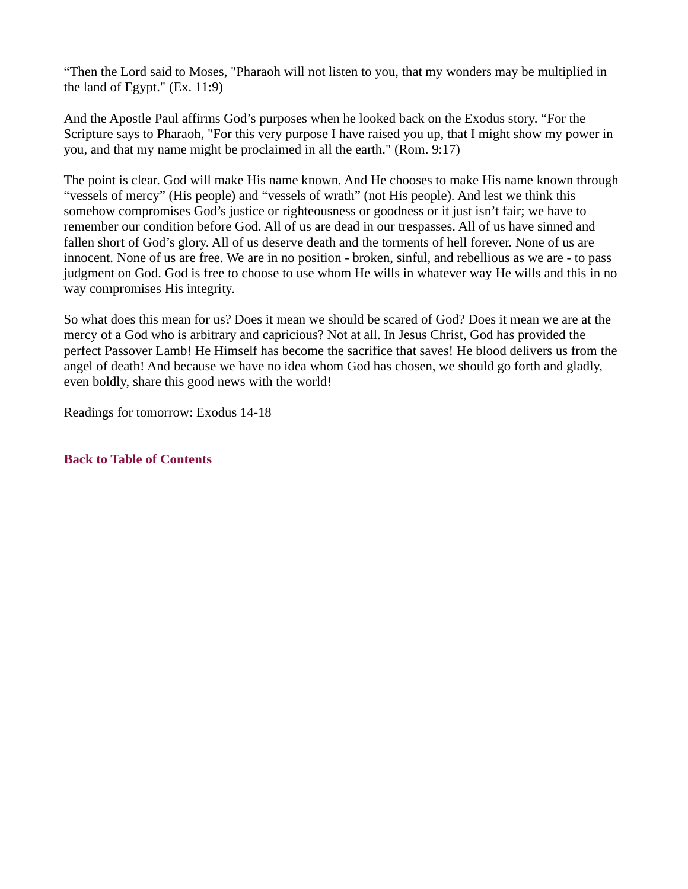"Then the Lord said to Moses, "Pharaoh will not listen to you, that my wonders may be multiplied in the land of Egypt." (Ex. 11:9)

And the Apostle Paul affirms God's purposes when he looked back on the Exodus story. "For the Scripture says to Pharaoh, "For this very purpose I have raised you up, that I might show my power in you, and that my name might be proclaimed in all the earth." (Rom. 9:17)

The point is clear. God will make His name known. And He chooses to make His name known through "vessels of mercy" (His people) and "vessels of wrath" (not His people). And lest we think this somehow compromises God's justice or righteousness or goodness or it just isn't fair; we have to remember our condition before God. All of us are dead in our trespasses. All of us have sinned and fallen short of God's glory. All of us deserve death and the torments of hell forever. None of us are innocent. None of us are free. We are in no position - broken, sinful, and rebellious as we are - to pass judgment on God. God is free to choose to use whom He wills in whatever way He wills and this in no way compromises His integrity.

So what does this mean for us? Does it mean we should be scared of God? Does it mean we are at the mercy of a God who is arbitrary and capricious? Not at all. In Jesus Christ, God has provided the perfect Passover Lamb! He Himself has become the sacrifice that saves! He blood delivers us from the angel of death! And because we have no idea whom God has chosen, we should go forth and gladly, even boldly, share this good news with the world!

Readings for tomorrow: Exodus 14-18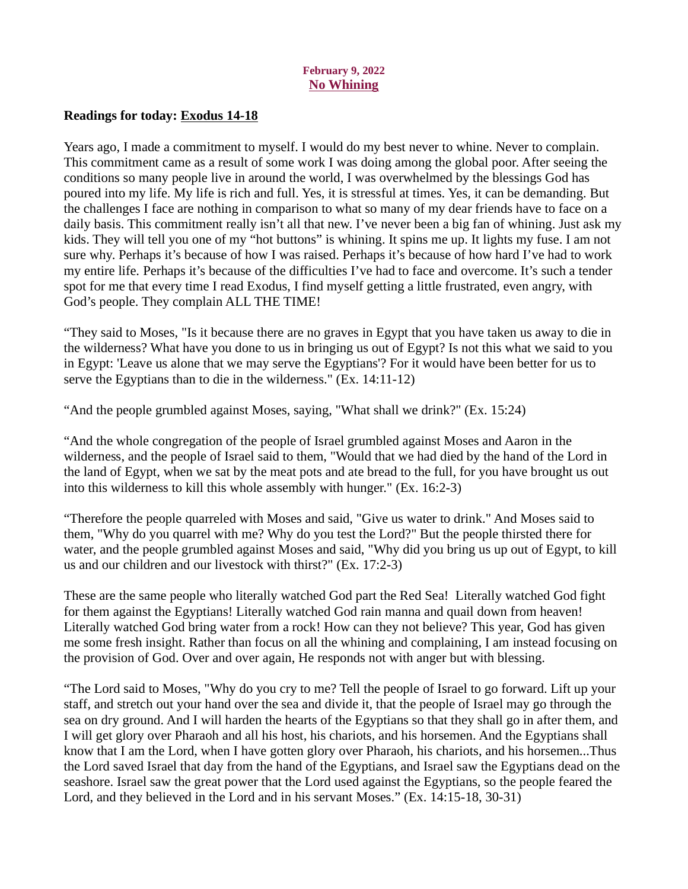## February 9, 2022 No Whining

## <span id="page-15-0"></span>[Readings for today: Exodus 14-18](https://www.biblegateway.com/passage/?search=Exodus+14-18&version=ESV)

Years ago, I made a commitment to myself. I would do my best never to whine. Never to complain. This commitment came as a result of some work I was doing among the global poor. After seeing the conditions so many people live in around the world, I was overwhelmed by the blessings God has poured into my life. My life is rich and full. Yes, it is stressful at times. Yes, it can be demanding. But the challenges I face are nothing in comparison to what so many of my dear friends have to face on a daily basis. This commitment really isn't all that new. I've never been a big fan of whining. Just ask my kids. They will tell you one of my "hot buttons" is whining. It spins me up. It lights my fuse. I am not sure why. Perhaps it's because of how I was raised. Perhaps it's because of how hard I've had to work my entire life. Perhaps it's because of the difficulties I've had to face and overcome. It's such a tender spot for me that every time I read Exodus, I find myself getting a little frustrated, even angry, with God's people. They complain ALL THE TIME!

"They said to Moses, "Is it because there are no graves in Egypt that you have taken us away to die in the wilderness? What have you done to us in bringing us out of Egypt? Is not this what we said to you in Egypt: 'Leave us alone that we may serve the Egyptians'? For it would have been better for us to serve the Egyptians than to die in the wilderness." (Ex. 14:11-12)

"And the people grumbled against Moses, saying, "What shall we drink?" (Ex. 15:24)

"And the whole congregation of the people of Israel grumbled against Moses and Aaron in the wilderness, and the people of Israel said to them, "Would that we had died by the hand of the Lord in the land of Egypt, when we sat by the meat pots and ate bread to the full, for you have brought us out into this wilderness to kill this whole assembly with hunger." (Ex. 16:2-3)

"Therefore the people quarreled with Moses and said, "Give us water to drink." And Moses said to them, "Why do you quarrel with me? Why do you test the Lord?" But the people thirsted there for water, and the people grumbled against Moses and said, "Why did you bring us up out of Egypt, to kill us and our children and our livestock with thirst?" (Ex. 17:2-3)

These are the same people who literally watched God part the Red Sea! Literally watched God fight for them against the Egyptians! Literally watched God rain manna and quail down from heaven! Literally watched God bring water from a rock! How can they not believe? This year, God has given me some fresh insight. Rather than focus on all the whining and complaining, I am instead focusing on the provision of God. Over and over again, He responds not with anger but with blessing.

"The Lord said to Moses, "Why do you cry to me? Tell the people of Israel to go forward. Lift up your staff, and stretch out your hand over the sea and divide it, that the people of Israel may go through the sea on dry ground. And I will harden the hearts of the Egyptians so that they shall go in after them, and I will get glory over Pharaoh and all his host, his chariots, and his horsemen. And the Egyptians shall know that I am the Lord, when I have gotten glory over Pharaoh, his chariots, and his horsemen...Thus the Lord saved Israel that day from the hand of the Egyptians, and Israel saw the Egyptians dead on the seashore. Israel saw the great power that the Lord used against the Egyptians, so the people feared the Lord, and they believed in the Lord and in his servant Moses." (Ex. 14:15-18, 30-31)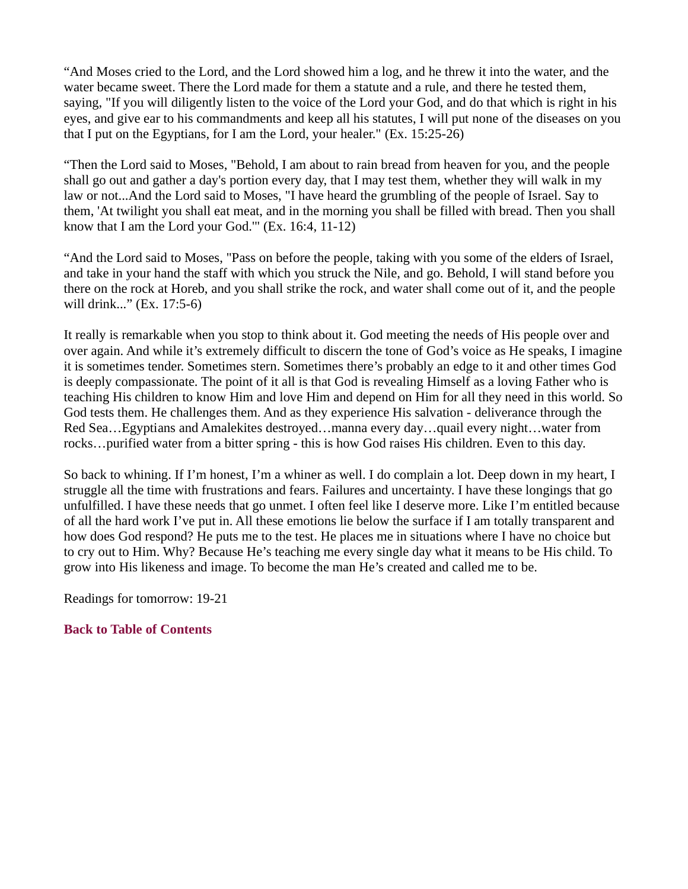"And Moses cried to the Lord, and the Lord showed him a log, and he threw it into the water, and the water became sweet. There the Lord made for them a statute and a rule, and there he tested them, saying, "If you will diligently listen to the voice of the Lord your God, and do that which is right in his eyes, and give ear to his commandments and keep all his statutes, I will put none of the diseases on you that I put on the Egyptians, for I am the Lord, your healer." (Ex. 15:25-26)

"Then the Lord said to Moses, "Behold, I am about to rain bread from heaven for you, and the people shall go out and gather a day's portion every day, that I may test them, whether they will walk in my law or not...And the Lord said to Moses, "I have heard the grumbling of the people of Israel. Say to them, 'At twilight you shall eat meat, and in the morning you shall be filled with bread. Then you shall know that I am the Lord your God.'" (Ex. 16:4, 11-12)

"And the Lord said to Moses, "Pass on before the people, taking with you some of the elders of Israel, and take in your hand the staff with which you struck the Nile, and go. Behold, I will stand before you there on the rock at Horeb, and you shall strike the rock, and water shall come out of it, and the people will drink..." (Ex. 17:5-6)

It really is remarkable when you stop to think about it. God meeting the needs of His people over and over again. And while it's extremely difficult to discern the tone of God's voice as He speaks, I imagine it is sometimes tender. Sometimes stern. Sometimes there's probably an edge to it and other times God is deeply compassionate. The point of it all is that God is revealing Himself as a loving Father who is teaching His children to know Him and love Him and depend on Him for all they need in this world. So God tests them. He challenges them. And as they experience His salvation - deliverance through the Red Sea…Egyptians and Amalekites destroyed…manna every day…quail every night…water from rocks…purified water from a bitter spring - this is how God raises His children. Even to this day.

So back to whining. If I'm honest, I'm a whiner as well. I do complain a lot. Deep down in my heart, I struggle all the time with frustrations and fears. Failures and uncertainty. I have these longings that go unfulfilled. I have these needs that go unmet. I often feel like I deserve more. Like I'm entitled because of all the hard work I've put in. All these emotions lie below the surface if I am totally transparent and how does God respond? He puts me to the test. He places me in situations where I have no choice but to cry out to Him. Why? Because He's teaching me every single day what it means to be His child. To grow into His likeness and image. To become the man He's created and called me to be.

Readings for tomorrow: 19-21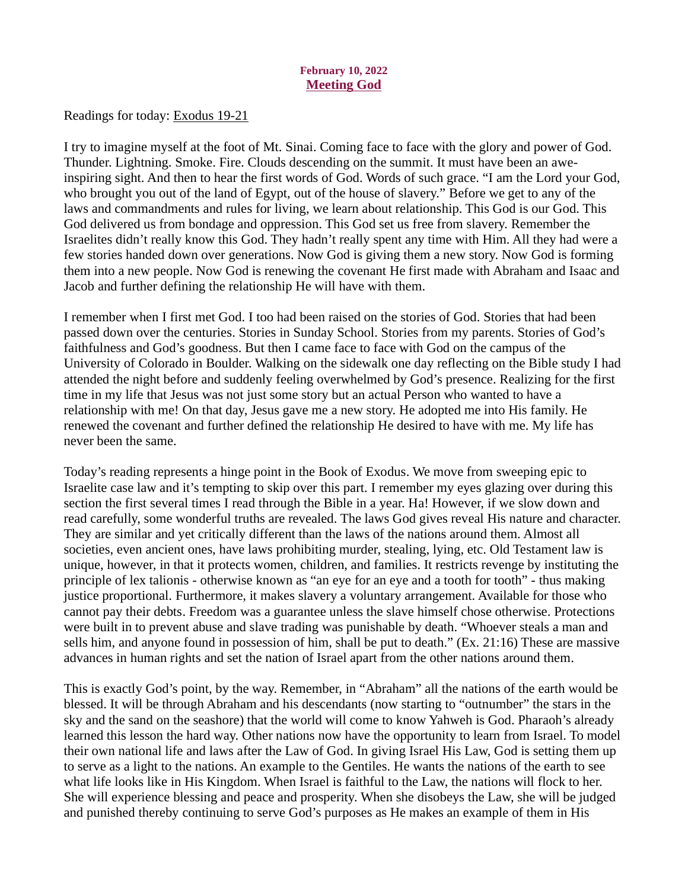## February 10, 2022 Meeting God

<span id="page-17-0"></span>[Readings for today: Exodus 19-21](https://www.biblegateway.com/passage/?search=Exodus+19-21&version=ESV)

I try to imagine myself at the foot of Mt. Sinai. Coming face to face with the glory and power of God. Thunder. Lightning. Smoke. Fire. Clouds descending on the summit. It must have been an aweinspiring sight. And then to hear the first words of God. Words of such grace. "I am the Lord your God, who brought you out of the land of Egypt, out of the house of slavery." Before we get to any of the laws and commandments and rules for living, we learn about relationship. This God is our God. This God delivered us from bondage and oppression. This God set us free from slavery. Remember the Israelites didn't really know this God. They hadn't really spent any time with Him. All they had were a few stories handed down over generations. Now God is giving them a new story. Now God is forming them into a new people. Now God is renewing the covenant He first made with Abraham and Isaac and Jacob and further defining the relationship He will have with them.

I remember when I first met God. I too had been raised on the stories of God. Stories that had been passed down over the centuries. Stories in Sunday School. Stories from my parents. Stories of God's faithfulness and God's goodness. But then I came face to face with God on the campus of the University of Colorado in Boulder. Walking on the sidewalk one day reflecting on the Bible study I had attended the night before and suddenly feeling overwhelmed by God's presence. Realizing for the first time in my life that Jesus was not just some story but an actual Person who wanted to have a relationship with me! On that day, Jesus gave me a new story. He adopted me into His family. He renewed the covenant and further defined the relationship He desired to have with me. My life has never been the same.

Today's reading represents a hinge point in the Book of Exodus. We move from sweeping epic to Israelite case law and it's tempting to skip over this part. I remember my eyes glazing over during this section the first several times I read through the Bible in a year. Ha! However, if we slow down and read carefully, some wonderful truths are revealed. The laws God gives reveal His nature and character. They are similar and yet critically different than the laws of the nations around them. Almost all societies, even ancient ones, have laws prohibiting murder, stealing, lying, etc. Old Testament law is unique, however, in that it protects women, children, and families. It restricts revenge by instituting the principle of lex talionis - otherwise known as "an eye for an eye and a tooth for tooth" - thus making justice proportional. Furthermore, it makes slavery a voluntary arrangement. Available for those who cannot pay their debts. Freedom was a guarantee unless the slave himself chose otherwise. Protections were built in to prevent abuse and slave trading was punishable by death. "Whoever steals a man and sells him, and anyone found in possession of him, shall be put to death." (Ex. 21:16) These are massive advances in human rights and set the nation of Israel apart from the other nations around them.

This is exactly God's point, by the way. Remember, in "Abraham" all the nations of the earth would be blessed. It will be through Abraham and his descendants (now starting to "outnumber" the stars in the sky and the sand on the seashore) that the world will come to know Yahweh is God. Pharaoh's already learned this lesson the hard way. Other nations now have the opportunity to learn from Israel. To model their own national life and laws after the Law of God. In giving Israel His Law, God is setting them up to serve as a light to the nations. An example to the Gentiles. He wants the nations of the earth to see what life looks like in His Kingdom. When Israel is faithful to the Law, the nations will flock to her. She will experience blessing and peace and prosperity. When she disobeys the Law, she will be judged and punished thereby continuing to serve God's purposes as He makes an example of them in His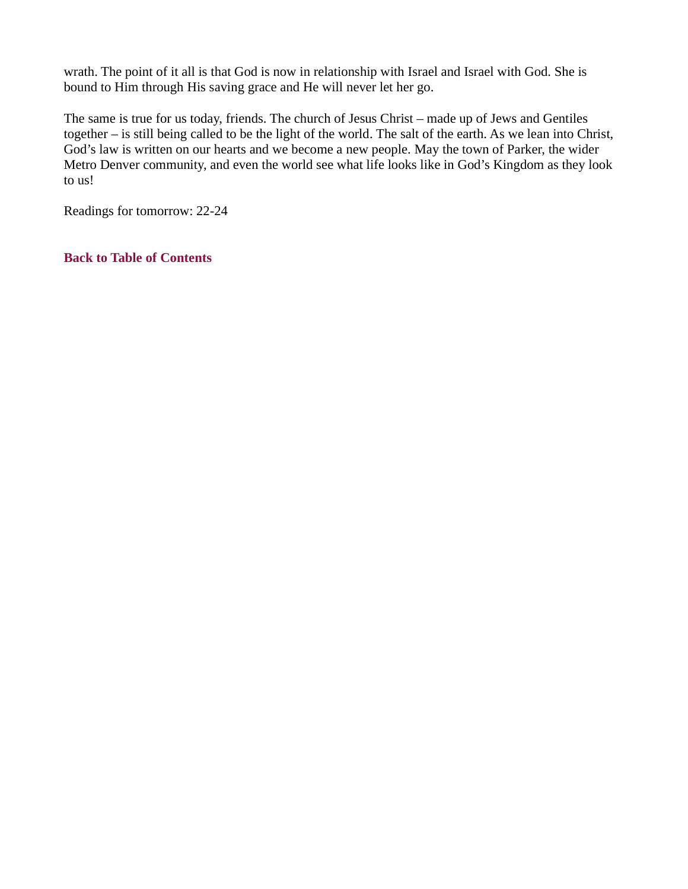wrath. The point of it all is that God is now in relationship with Israel and Israel with God. She is bound to Him through His saving grace and He will never let her go.

The same is true for us today, friends. The church of Jesus Christ – made up of Jews and Gentiles together – is still being called to be the light of the world. The salt of the earth. As we lean into Christ, God's law is written on our hearts and we become a new people. May the town of Parker, the wider Metro Denver community, and even the world see what life looks like in God's Kingdom as they look to us!

Readings for tomorrow: 22-24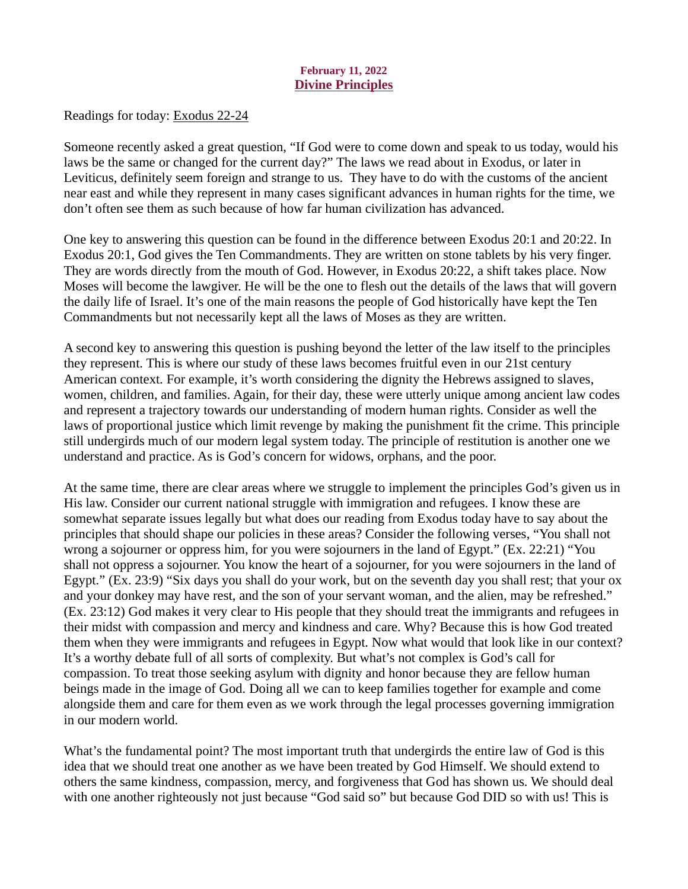## February 11, 2022 Divine Principles

<span id="page-19-0"></span>[Readings for today: Exodus 22-24](https://www.biblegateway.com/passage/?search=Exodus+22-24&version=ESV)

Someone recently asked a great question, "If God were to come down and speak to us today, would his laws be the same or changed for the current day?" The laws we read about in Exodus, or later in Leviticus, definitely seem foreign and strange to us. They have to do with the customs of the ancient near east and while they represent in many cases significant advances in human rights for the time, we don't often see them as such because of how far human civilization has advanced.

One key to answering this question can be found in the difference between Exodus 20:1 and 20:22. In Exodus 20:1, God gives the Ten Commandments. They are written on stone tablets by his very finger. They are words directly from the mouth of God. However, in Exodus 20:22, a shift takes place. Now Moses will become the lawgiver. He will be the one to flesh out the details of the laws that will govern the daily life of Israel. It's one of the main reasons the people of God historically have kept the Ten Commandments but not necessarily kept all the laws of Moses as they are written.

A second key to answering this question is pushing beyond the letter of the law itself to the principles they represent. This is where our study of these laws becomes fruitful even in our 21st century American context. For example, it's worth considering the dignity the Hebrews assigned to slaves, women, children, and families. Again, for their day, these were utterly unique among ancient law codes and represent a trajectory towards our understanding of modern human rights. Consider as well the laws of proportional justice which limit revenge by making the punishment fit the crime. This principle still undergirds much of our modern legal system today. The principle of restitution is another one we understand and practice. As is God's concern for widows, orphans, and the poor.

At the same time, there are clear areas where we struggle to implement the principles God's given us in His law. Consider our current national struggle with immigration and refugees. I know these are somewhat separate issues legally but what does our reading from Exodus today have to say about the principles that should shape our policies in these areas? Consider the following verses, "You shall not wrong a sojourner or oppress him, for you were sojourners in the land of Egypt." (Ex. 22:21) "You shall not oppress a sojourner. You know the heart of a sojourner, for you were sojourners in the land of Egypt." (Ex. 23:9) "Six days you shall do your work, but on the seventh day you shall rest; that your ox and your donkey may have rest, and the son of your servant woman, and the alien, may be refreshed." (Ex. 23:12) God makes it very clear to His people that they should treat the immigrants and refugees in their midst with compassion and mercy and kindness and care. Why? Because this is how God treated them when they were immigrants and refugees in Egypt. Now what would that look like in our context? It's a worthy debate full of all sorts of complexity. But what's not complex is God's call for compassion. To treat those seeking asylum with dignity and honor because they are fellow human beings made in the image of God. Doing all we can to keep families together for example and come alongside them and care for them even as we work through the legal processes governing immigration in our modern world.

What's the fundamental point? The most important truth that undergirds the entire law of God is this idea that we should treat one another as we have been treated by God Himself. We should extend to others the same kindness, compassion, mercy, and forgiveness that God has shown us. We should deal with one another righteously not just because "God said so" but because God DID so with us! This is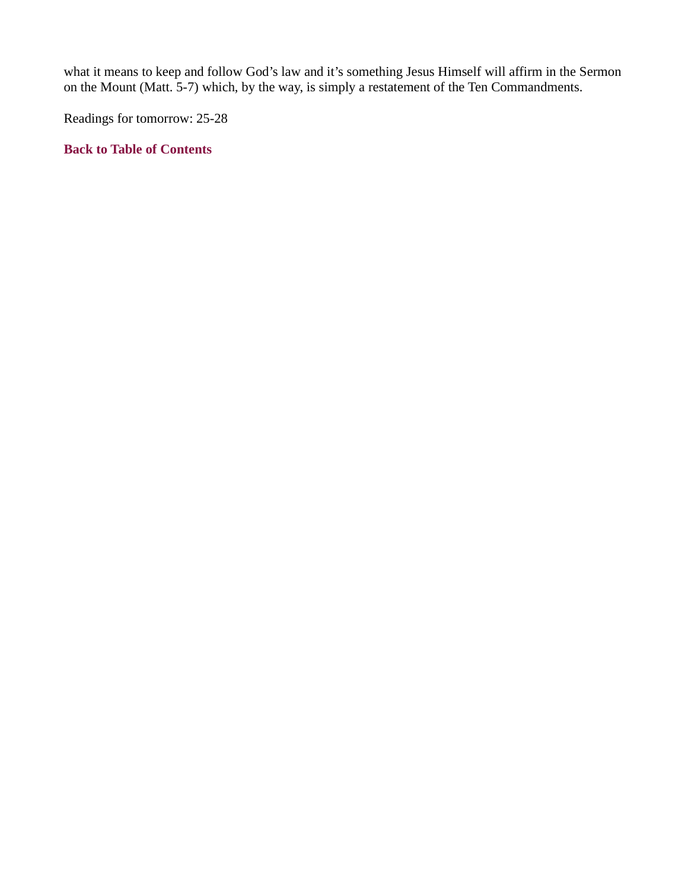what it means to keep and follow God's law and it's something Jesus Himself will affirm in the Sermon on the Mount (Matt. 5-7) which, by the way, is simply a restatement of the Ten Commandments.

Readings for tomorrow: 25-28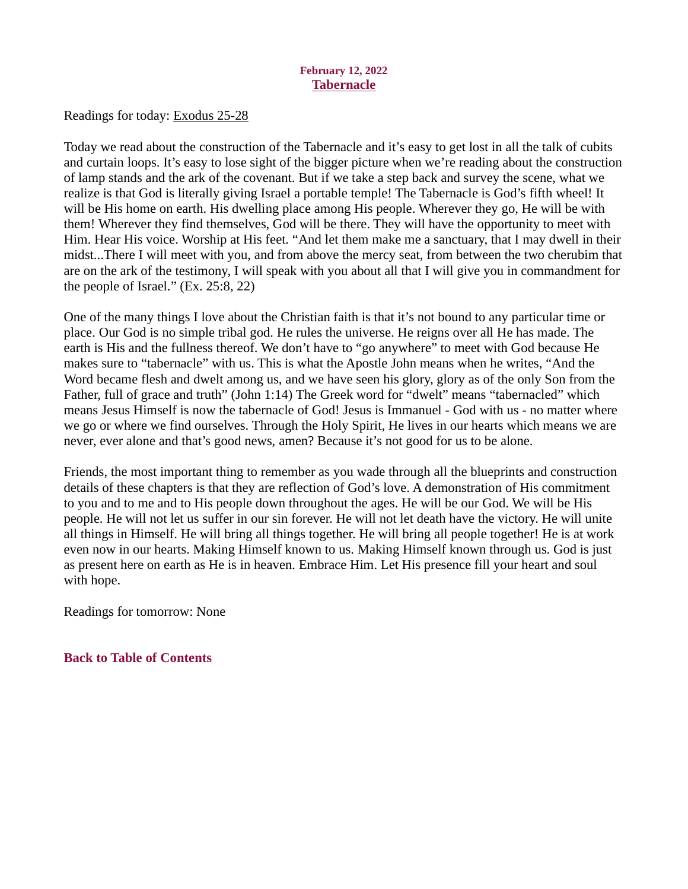#### February 12, 2022 **Tabernacle**

<span id="page-21-0"></span>[Readings for today: Exodus 25-28](https://www.biblegateway.com/passage/?search=Exodus+25-28&version=ESV)

Today we read about the construction of the Tabernacle and it's easy to get lost in all the talk of cubits and curtain loops. It's easy to lose sight of the bigger picture when we're reading about the construction of lamp stands and the ark of the covenant. But if we take a step back and survey the scene, what we realize is that God is literally giving Israel a portable temple! The Tabernacle is God's fifth wheel! It will be His home on earth. His dwelling place among His people. Wherever they go, He will be with them! Wherever they find themselves, God will be there. They will have the opportunity to meet with Him. Hear His voice. Worship at His feet. "And let them make me a sanctuary, that I may dwell in their midst...There I will meet with you, and from above the mercy seat, from between the two cherubim that are on the ark of the testimony, I will speak with you about all that I will give you in commandment for the people of Israel." (Ex. 25:8, 22)

One of the many things I love about the Christian faith is that it's not bound to any particular time or place. Our God is no simple tribal god. He rules the universe. He reigns over all He has made. The earth is His and the fullness thereof. We don't have to "go anywhere" to meet with God because He makes sure to "tabernacle" with us. This is what the Apostle John means when he writes, "And the Word became flesh and dwelt among us, and we have seen his glory, glory as of the only Son from the Father, full of grace and truth" (John 1:14) The Greek word for "dwelt" means "tabernacled" which means Jesus Himself is now the tabernacle of God! Jesus is Immanuel - God with us - no matter where we go or where we find ourselves. Through the Holy Spirit, He lives in our hearts which means we are never, ever alone and that's good news, amen? Because it's not good for us to be alone.

Friends, the most important thing to remember as you wade through all the blueprints and construction details of these chapters is that they are reflection of God's love. A demonstration of His commitment to you and to me and to His people down throughout the ages. He will be our God. We will be His people. He will not let us suffer in our sin forever. He will not let death have the victory. He will unite all things in Himself. He will bring all things together. He will bring all people together! He is at work even now in our hearts. Making Himself known to us. Making Himself known through us. God is just as present here on earth as He is in heaven. Embrace Him. Let His presence fill your heart and soul with hope.

Readings for tomorrow: None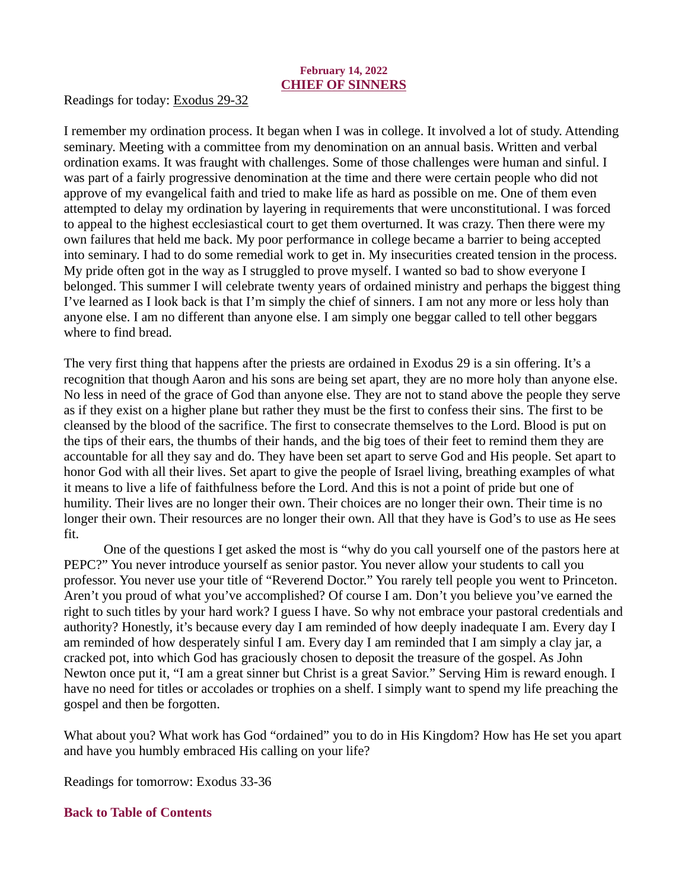## February 14, 2022 CHIEF OF SINNERS

<span id="page-22-0"></span>[Readings for today: Exodus 29-32](https://www.biblegateway.com/passage/?search=Exodus+29-32&version=ESV)

I remember my ordination process. It began when I was in college. It involved a lot of study. Attending seminary. Meeting with a committee from my denomination on an annual basis. Written and verbal ordination exams. It was fraught with challenges. Some of those challenges were human and sinful. I was part of a fairly progressive denomination at the time and there were certain people who did not approve of my evangelical faith and tried to make life as hard as possible on me. One of them even attempted to delay my ordination by layering in requirements that were unconstitutional. I was forced to appeal to the highest ecclesiastical court to get them overturned. It was crazy. Then there were my own failures that held me back. My poor performance in college became a barrier to being accepted into seminary. I had to do some remedial work to get in. My insecurities created tension in the process. My pride often got in the way as I struggled to prove myself. I wanted so bad to show everyone I belonged. This summer I will celebrate twenty years of ordained ministry and perhaps the biggest thing I've learned as I look back is that I'm simply the chief of sinners. I am not any more or less holy than anyone else. I am no different than anyone else. I am simply one beggar called to tell other beggars where to find bread.

The very first thing that happens after the priests are ordained in Exodus 29 is a sin offering. It's a recognition that though Aaron and his sons are being set apart, they are no more holy than anyone else. No less in need of the grace of God than anyone else. They are not to stand above the people they serve as if they exist on a higher plane but rather they must be the first to confess their sins. The first to be cleansed by the blood of the sacrifice. The first to consecrate themselves to the Lord. Blood is put on the tips of their ears, the thumbs of their hands, and the big toes of their feet to remind them they are accountable for all they say and do. They have been set apart to serve God and His people. Set apart to honor God with all their lives. Set apart to give the people of Israel living, breathing examples of what it means to live a life of faithfulness before the Lord. And this is not a point of pride but one of humility. Their lives are no longer their own. Their choices are no longer their own. Their time is no longer their own. Their resources are no longer their own. All that they have is God's to use as He sees fit.

One of the questions I get asked the most is "why do you call yourself one of the pastors here at PEPC?" You never introduce yourself as senior pastor. You never allow your students to call you professor. You never use your title of "Reverend Doctor." You rarely tell people you went to Princeton. Aren't you proud of what you've accomplished? Of course I am. Don't you believe you've earned the right to such titles by your hard work? I guess I have. So why not embrace your pastoral credentials and authority? Honestly, it's because every day I am reminded of how deeply inadequate I am. Every day I am reminded of how desperately sinful I am. Every day I am reminded that I am simply a clay jar, a cracked pot, into which God has graciously chosen to deposit the treasure of the gospel. As John Newton once put it, "I am a great sinner but Christ is a great Savior." Serving Him is reward enough. I have no need for titles or accolades or trophies on a shelf. I simply want to spend my life preaching the gospel and then be forgotten.

What about you? What work has God "ordained" you to do in His Kingdom? How has He set you apart and have you humbly embraced His calling on your life?

Readings for tomorrow: Exodus 33-36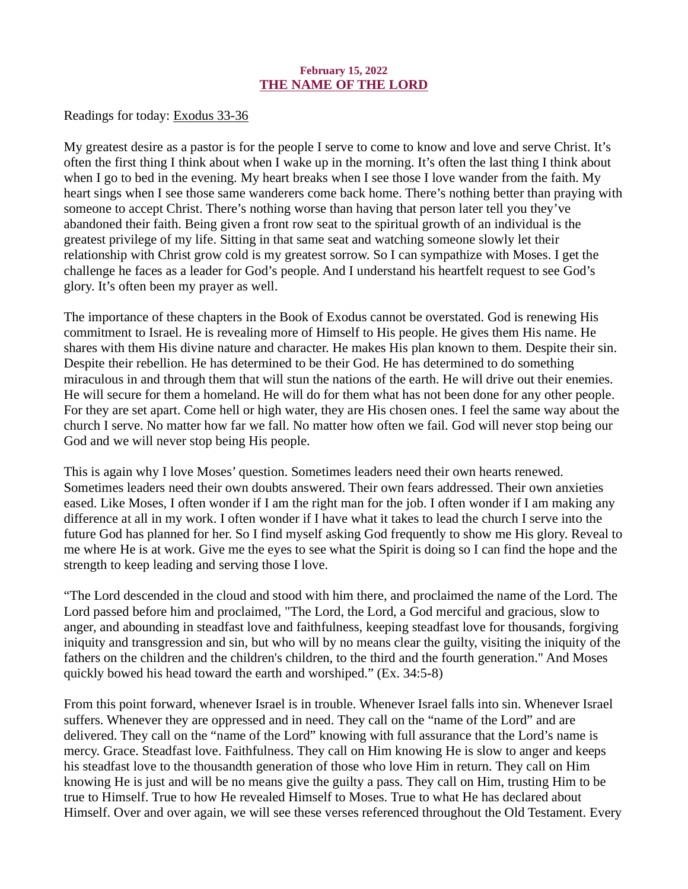### February 15, 2022 THE NAME OF THE LORD

<span id="page-23-0"></span>[Readings for today: Exodus 33-36](https://www.biblegateway.com/passage/?search=Exodus+33-36&version=ESV)

My greatest desire as a pastor is for the people I serve to come to know and love and serve Christ. It's often the first thing I think about when I wake up in the morning. It's often the last thing I think about when I go to bed in the evening. My heart breaks when I see those I love wander from the faith. My heart sings when I see those same wanderers come back home. There's nothing better than praying with someone to accept Christ. There's nothing worse than having that person later tell you they've abandoned their faith. Being given a front row seat to the spiritual growth of an individual is the greatest privilege of my life. Sitting in that same seat and watching someone slowly let their relationship with Christ grow cold is my greatest sorrow. So I can sympathize with Moses. I get the challenge he faces as a leader for God's people. And I understand his heartfelt request to see God's glory. It's often been my prayer as well.

The importance of these chapters in the Book of Exodus cannot be overstated. God is renewing His commitment to Israel. He is revealing more of Himself to His people. He gives them His name. He shares with them His divine nature and character. He makes His plan known to them. Despite their sin. Despite their rebellion. He has determined to be their God. He has determined to do something miraculous in and through them that will stun the nations of the earth. He will drive out their enemies. He will secure for them a homeland. He will do for them what has not been done for any other people. For they are set apart. Come hell or high water, they are His chosen ones. I feel the same way about the church I serve. No matter how far we fall. No matter how often we fail. God will never stop being our God and we will never stop being His people.

This is again why I love Moses' question. Sometimes leaders need their own hearts renewed. Sometimes leaders need their own doubts answered. Their own fears addressed. Their own anxieties eased. Like Moses, I often wonder if I am the right man for the job. I often wonder if I am making any difference at all in my work. I often wonder if I have what it takes to lead the church I serve into the future God has planned for her. So I find myself asking God frequently to show me His glory. Reveal to me where He is at work. Give me the eyes to see what the Spirit is doing so I can find the hope and the strength to keep leading and serving those I love.

"The Lord descended in the cloud and stood with him there, and proclaimed the name of the Lord. The Lord passed before him and proclaimed, "The Lord, the Lord, a God merciful and gracious, slow to anger, and abounding in steadfast love and faithfulness, keeping steadfast love for thousands, forgiving iniquity and transgression and sin, but who will by no means clear the guilty, visiting the iniquity of the fathers on the children and the children's children, to the third and the fourth generation." And Moses quickly bowed his head toward the earth and worshiped." (Ex. 34:5-8)

From this point forward, whenever Israel is in trouble. Whenever Israel falls into sin. Whenever Israel suffers. Whenever they are oppressed and in need. They call on the "name of the Lord" and are delivered. They call on the "name of the Lord" knowing with full assurance that the Lord's name is mercy. Grace. Steadfast love. Faithfulness. They call on Him knowing He is slow to anger and keeps his steadfast love to the thousandth generation of those who love Him in return. They call on Him knowing He is just and will be no means give the guilty a pass. They call on Him, trusting Him to be true to Himself. True to how He revealed Himself to Moses. True to what He has declared about Himself. Over and over again, we will see these verses referenced throughout the Old Testament. Every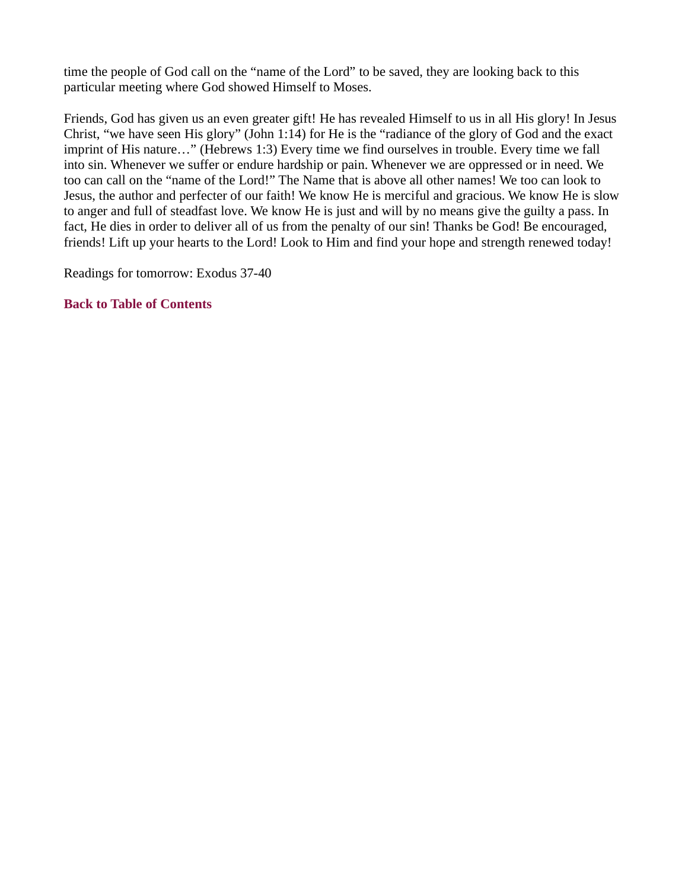time the people of God call on the "name of the Lord" to be saved, they are looking back to this particular meeting where God showed Himself to Moses.

Friends, God has given us an even greater gift! He has revealed Himself to us in all His glory! In Jesus Christ, "we have seen His glory" (John 1:14) for He is the "radiance of the glory of God and the exact imprint of His nature…" (Hebrews 1:3) Every time we find ourselves in trouble. Every time we fall into sin. Whenever we suffer or endure hardship or pain. Whenever we are oppressed or in need. We too can call on the "name of the Lord!" The Name that is above all other names! We too can look to Jesus, the author and perfecter of our faith! We know He is merciful and gracious. We know He is slow to anger and full of steadfast love. We know He is just and will by no means give the guilty a pass. In fact, He dies in order to deliver all of us from the penalty of our sin! Thanks be God! Be encouraged, friends! Lift up your hearts to the Lord! Look to Him and find your hope and strength renewed today!

Readings for tomorrow: Exodus 37-40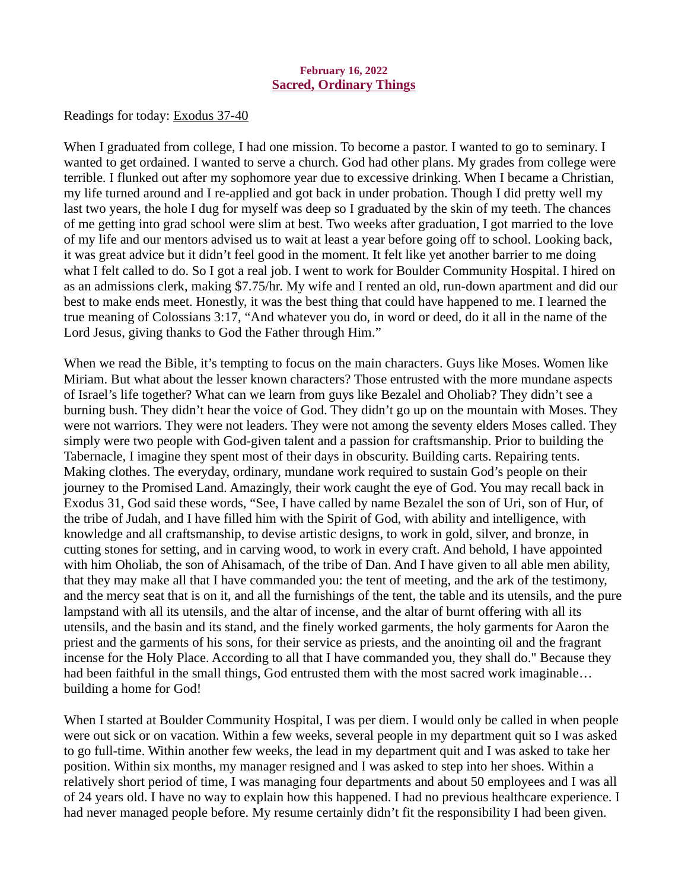### February 16, 2022 Sacred, Ordinary Things

<span id="page-25-0"></span>[Readings for today: Exodus 37-40](https://www.biblegateway.com/passage/?search=Exodus+37-40&version=ESV)

When I graduated from college, I had one mission. To become a pastor. I wanted to go to seminary. I wanted to get ordained. I wanted to serve a church. God had other plans. My grades from college were terrible. I flunked out after my sophomore year due to excessive drinking. When I became a Christian, my life turned around and I re-applied and got back in under probation. Though I did pretty well my last two years, the hole I dug for myself was deep so I graduated by the skin of my teeth. The chances of me getting into grad school were slim at best. Two weeks after graduation, I got married to the love of my life and our mentors advised us to wait at least a year before going off to school. Looking back, it was great advice but it didn't feel good in the moment. It felt like yet another barrier to me doing what I felt called to do. So I got a real job. I went to work for Boulder Community Hospital. I hired on as an admissions clerk, making \$7.75/hr. My wife and I rented an old, run-down apartment and did our best to make ends meet. Honestly, it was the best thing that could have happened to me. I learned the true meaning of Colossians 3:17, "And whatever you do, in word or deed, do it all in the name of the Lord Jesus, giving thanks to God the Father through Him."

When we read the Bible, it's tempting to focus on the main characters. Guys like Moses. Women like Miriam. But what about the lesser known characters? Those entrusted with the more mundane aspects of Israel's life together? What can we learn from guys like Bezalel and Oholiab? They didn't see a burning bush. They didn't hear the voice of God. They didn't go up on the mountain with Moses. They were not warriors. They were not leaders. They were not among the seventy elders Moses called. They simply were two people with God-given talent and a passion for craftsmanship. Prior to building the Tabernacle, I imagine they spent most of their days in obscurity. Building carts. Repairing tents. Making clothes. The everyday, ordinary, mundane work required to sustain God's people on their journey to the Promised Land. Amazingly, their work caught the eye of God. You may recall back in Exodus 31, God said these words, "See, I have called by name Bezalel the son of Uri, son of Hur, of the tribe of Judah, and I have filled him with the Spirit of God, with ability and intelligence, with knowledge and all craftsmanship, to devise artistic designs, to work in gold, silver, and bronze, in cutting stones for setting, and in carving wood, to work in every craft. And behold, I have appointed with him Oholiab, the son of Ahisamach, of the tribe of Dan. And I have given to all able men ability, that they may make all that I have commanded you: the tent of meeting, and the ark of the testimony, and the mercy seat that is on it, and all the furnishings of the tent, the table and its utensils, and the pure lampstand with all its utensils, and the altar of incense, and the altar of burnt offering with all its utensils, and the basin and its stand, and the finely worked garments, the holy garments for Aaron the priest and the garments of his sons, for their service as priests, and the anointing oil and the fragrant incense for the Holy Place. According to all that I have commanded you, they shall do." Because they had been faithful in the small things, God entrusted them with the most sacred work imaginable... building a home for God!

When I started at Boulder Community Hospital, I was per diem. I would only be called in when people were out sick or on vacation. Within a few weeks, several people in my department quit so I was asked to go full-time. Within another few weeks, the lead in my department quit and I was asked to take her position. Within six months, my manager resigned and I was asked to step into her shoes. Within a relatively short period of time, I was managing four departments and about 50 employees and I was all of 24 years old. I have no way to explain how this happened. I had no previous healthcare experience. I had never managed people before. My resume certainly didn't fit the responsibility I had been given.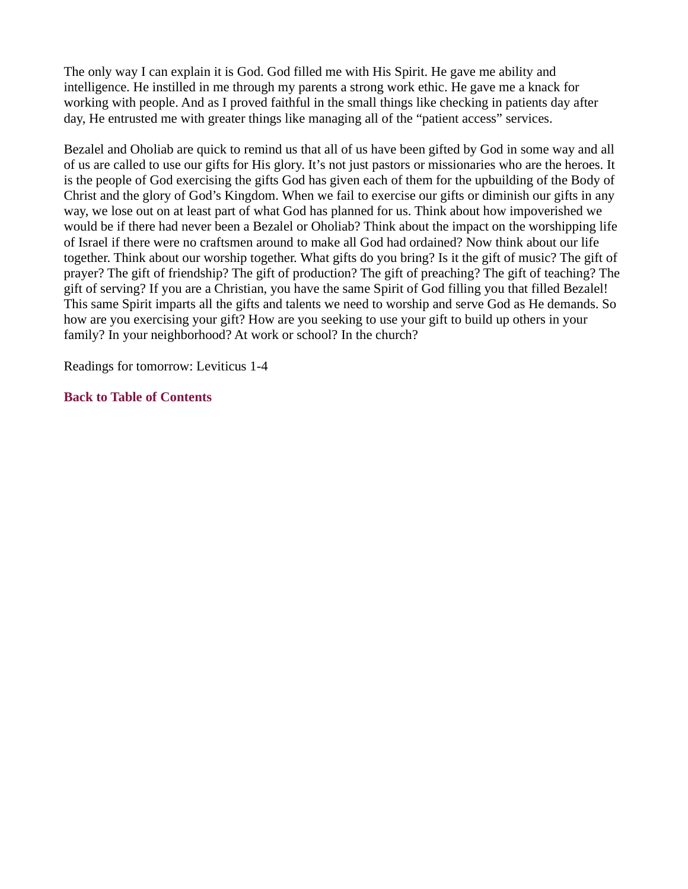The only way I can explain it is God. God filled me with His Spirit. He gave me ability and intelligence. He instilled in me through my parents a strong work ethic. He gave me a knack for working with people. And as I proved faithful in the small things like checking in patients day after day, He entrusted me with greater things like managing all of the "patient access" services.

Bezalel and Oholiab are quick to remind us that all of us have been gifted by God in some way and all of us are called to use our gifts for His glory. It's not just pastors or missionaries who are the heroes. It is the people of God exercising the gifts God has given each of them for the upbuilding of the Body of Christ and the glory of God's Kingdom. When we fail to exercise our gifts or diminish our gifts in any way, we lose out on at least part of what God has planned for us. Think about how impoverished we would be if there had never been a Bezalel or Oholiab? Think about the impact on the worshipping life of Israel if there were no craftsmen around to make all God had ordained? Now think about our life together. Think about our worship together. What gifts do you bring? Is it the gift of music? The gift of prayer? The gift of friendship? The gift of production? The gift of preaching? The gift of teaching? The gift of serving? If you are a Christian, you have the same Spirit of God filling you that filled Bezalel! This same Spirit imparts all the gifts and talents we need to worship and serve God as He demands. So how are you exercising your gift? How are you seeking to use your gift to build up others in your family? In your neighborhood? At work or school? In the church?

Readings for tomorrow: Leviticus 1-4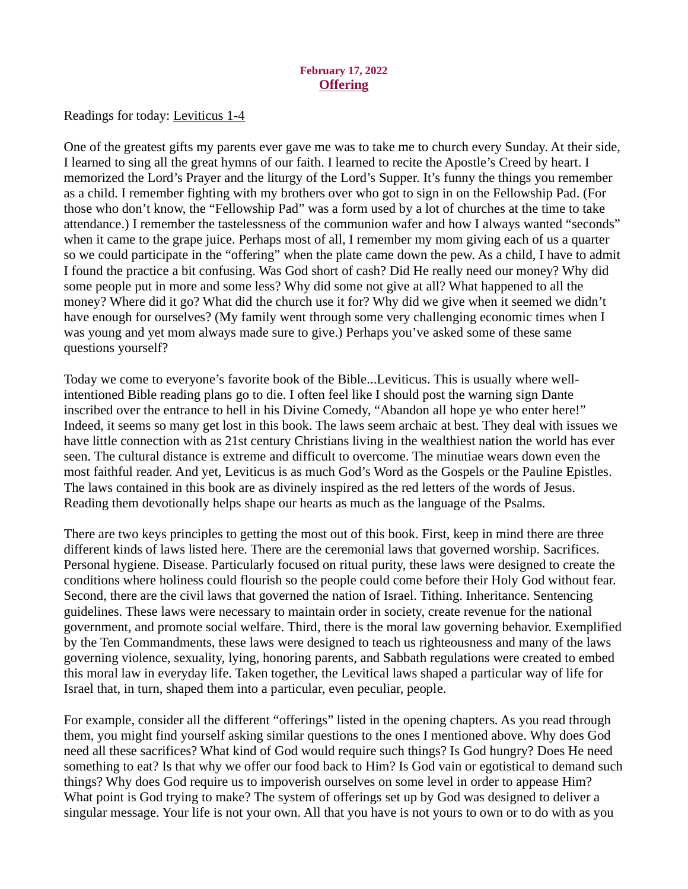## February 17, 2022 **Offering**

<span id="page-27-0"></span>[Readings for today: Leviticus 1-4](https://www.biblegateway.com/passage/?search=Leviticus+1-4&version=ESV)

One of the greatest gifts my parents ever gave me was to take me to church every Sunday. At their side, I learned to sing all the great hymns of our faith. I learned to recite the Apostle's Creed by heart. I memorized the Lord's Prayer and the liturgy of the Lord's Supper. It's funny the things you remember as a child. I remember fighting with my brothers over who got to sign in on the Fellowship Pad. (For those who don't know, the "Fellowship Pad" was a form used by a lot of churches at the time to take attendance.) I remember the tastelessness of the communion wafer and how I always wanted "seconds" when it came to the grape juice. Perhaps most of all, I remember my mom giving each of us a quarter so we could participate in the "offering" when the plate came down the pew. As a child, I have to admit I found the practice a bit confusing. Was God short of cash? Did He really need our money? Why did some people put in more and some less? Why did some not give at all? What happened to all the money? Where did it go? What did the church use it for? Why did we give when it seemed we didn't have enough for ourselves? (My family went through some very challenging economic times when I was young and yet mom always made sure to give.) Perhaps you've asked some of these same questions yourself?

Today we come to everyone's favorite book of the Bible...Leviticus. This is usually where wellintentioned Bible reading plans go to die. I often feel like I should post the warning sign Dante inscribed over the entrance to hell in his Divine Comedy, "Abandon all hope ye who enter here!" Indeed, it seems so many get lost in this book. The laws seem archaic at best. They deal with issues we have little connection with as 21st century Christians living in the wealthiest nation the world has ever seen. The cultural distance is extreme and difficult to overcome. The minutiae wears down even the most faithful reader. And yet, Leviticus is as much God's Word as the Gospels or the Pauline Epistles. The laws contained in this book are as divinely inspired as the red letters of the words of Jesus. Reading them devotionally helps shape our hearts as much as the language of the Psalms.

There are two keys principles to getting the most out of this book. First, keep in mind there are three different kinds of laws listed here. There are the ceremonial laws that governed worship. Sacrifices. Personal hygiene. Disease. Particularly focused on ritual purity, these laws were designed to create the conditions where holiness could flourish so the people could come before their Holy God without fear. Second, there are the civil laws that governed the nation of Israel. Tithing. Inheritance. Sentencing guidelines. These laws were necessary to maintain order in society, create revenue for the national government, and promote social welfare. Third, there is the moral law governing behavior. Exemplified by the Ten Commandments, these laws were designed to teach us righteousness and many of the laws governing violence, sexuality, lying, honoring parents, and Sabbath regulations were created to embed this moral law in everyday life. Taken together, the Levitical laws shaped a particular way of life for Israel that, in turn, shaped them into a particular, even peculiar, people.

For example, consider all the different "offerings" listed in the opening chapters. As you read through them, you might find yourself asking similar questions to the ones I mentioned above. Why does God need all these sacrifices? What kind of God would require such things? Is God hungry? Does He need something to eat? Is that why we offer our food back to Him? Is God vain or egotistical to demand such things? Why does God require us to impoverish ourselves on some level in order to appease Him? What point is God trying to make? The system of offerings set up by God was designed to deliver a singular message. Your life is not your own. All that you have is not yours to own or to do with as you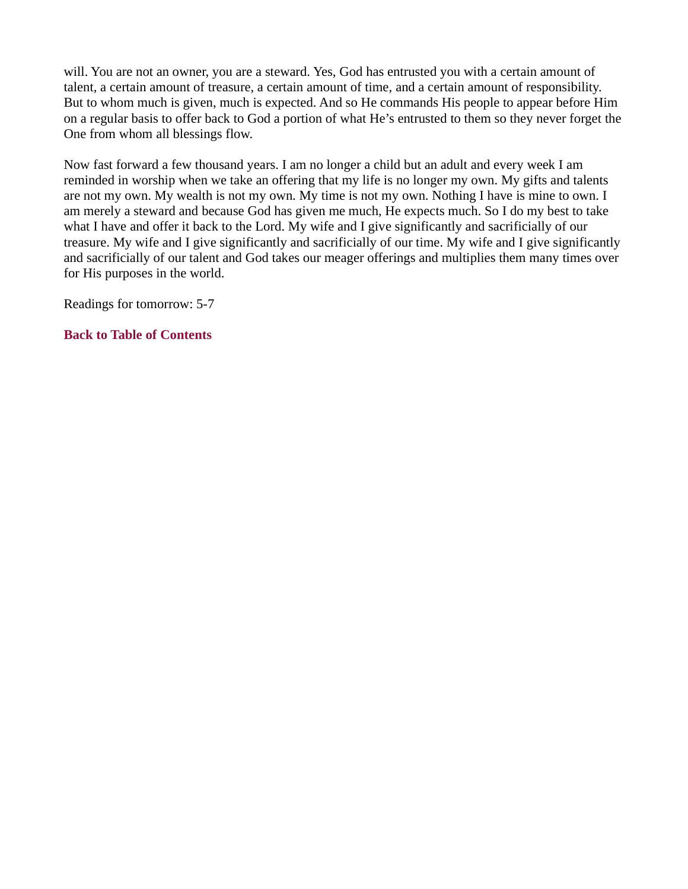will. You are not an owner, you are a steward. Yes, God has entrusted you with a certain amount of talent, a certain amount of treasure, a certain amount of time, and a certain amount of responsibility. But to whom much is given, much is expected. And so He commands His people to appear before Him on a regular basis to offer back to God a portion of what He's entrusted to them so they never forget the One from whom all blessings flow.

Now fast forward a few thousand years. I am no longer a child but an adult and every week I am reminded in worship when we take an offering that my life is no longer my own. My gifts and talents are not my own. My wealth is not my own. My time is not my own. Nothing I have is mine to own. I am merely a steward and because God has given me much, He expects much. So I do my best to take what I have and offer it back to the Lord. My wife and I give significantly and sacrificially of our treasure. My wife and I give significantly and sacrificially of our time. My wife and I give significantly and sacrificially of our talent and God takes our meager offerings and multiplies them many times over for His purposes in the world.

Readings for tomorrow: 5-7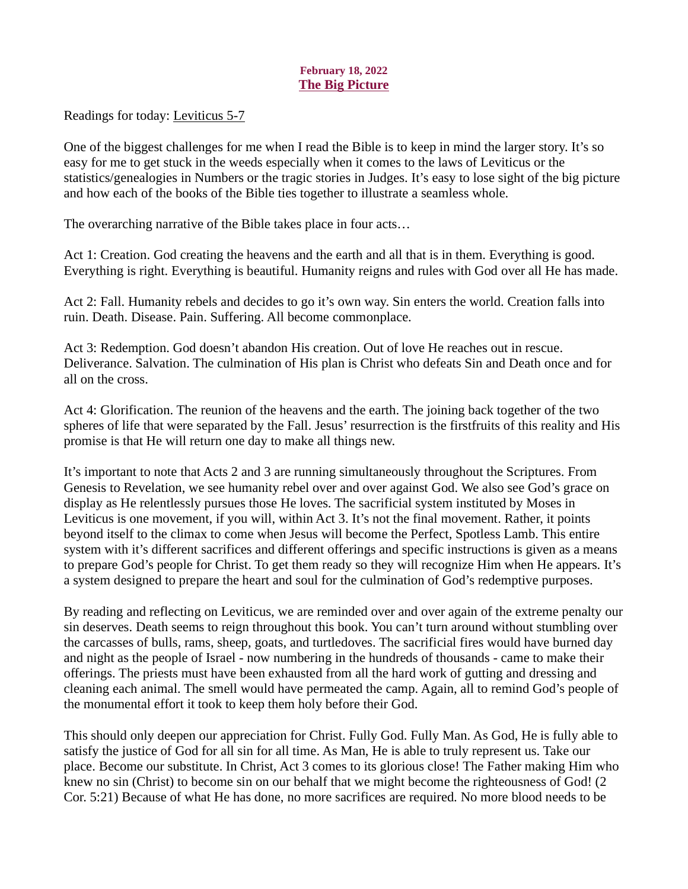## February 18, 2022 The Big Picture

<span id="page-29-0"></span>[Readings for today: Leviticus 5-7](https://www.biblegateway.com/passage/?search=Leviticus+5-7&version=ESV)

One of the biggest challenges for me when I read the Bible is to keep in mind the larger story. It's so easy for me to get stuck in the weeds especially when it comes to the laws of Leviticus or the statistics/genealogies in Numbers or the tragic stories in Judges. It's easy to lose sight of the big picture and how each of the books of the Bible ties together to illustrate a seamless whole.

The overarching narrative of the Bible takes place in four acts…

Act 1: Creation. God creating the heavens and the earth and all that is in them. Everything is good. Everything is right. Everything is beautiful. Humanity reigns and rules with God over all He has made.

Act 2: Fall. Humanity rebels and decides to go it's own way. Sin enters the world. Creation falls into ruin. Death. Disease. Pain. Suffering. All become commonplace.

Act 3: Redemption. God doesn't abandon His creation. Out of love He reaches out in rescue. Deliverance. Salvation. The culmination of His plan is Christ who defeats Sin and Death once and for all on the cross.

Act 4: Glorification. The reunion of the heavens and the earth. The joining back together of the two spheres of life that were separated by the Fall. Jesus' resurrection is the firstfruits of this reality and His promise is that He will return one day to make all things new.

It's important to note that Acts 2 and 3 are running simultaneously throughout the Scriptures. From Genesis to Revelation, we see humanity rebel over and over against God. We also see God's grace on display as He relentlessly pursues those He loves. The sacrificial system instituted by Moses in Leviticus is one movement, if you will, within Act 3. It's not the final movement. Rather, it points beyond itself to the climax to come when Jesus will become the Perfect, Spotless Lamb. This entire system with it's different sacrifices and different offerings and specific instructions is given as a means to prepare God's people for Christ. To get them ready so they will recognize Him when He appears. It's a system designed to prepare the heart and soul for the culmination of God's redemptive purposes.

By reading and reflecting on Leviticus, we are reminded over and over again of the extreme penalty our sin deserves. Death seems to reign throughout this book. You can't turn around without stumbling over the carcasses of bulls, rams, sheep, goats, and turtledoves. The sacrificial fires would have burned day and night as the people of Israel - now numbering in the hundreds of thousands - came to make their offerings. The priests must have been exhausted from all the hard work of gutting and dressing and cleaning each animal. The smell would have permeated the camp. Again, all to remind God's people of the monumental effort it took to keep them holy before their God.

This should only deepen our appreciation for Christ. Fully God. Fully Man. As God, He is fully able to satisfy the justice of God for all sin for all time. As Man, He is able to truly represent us. Take our place. Become our substitute. In Christ, Act 3 comes to its glorious close! The Father making Him who knew no sin (Christ) to become sin on our behalf that we might become the righteousness of God! (2 Cor. 5:21) Because of what He has done, no more sacrifices are required. No more blood needs to be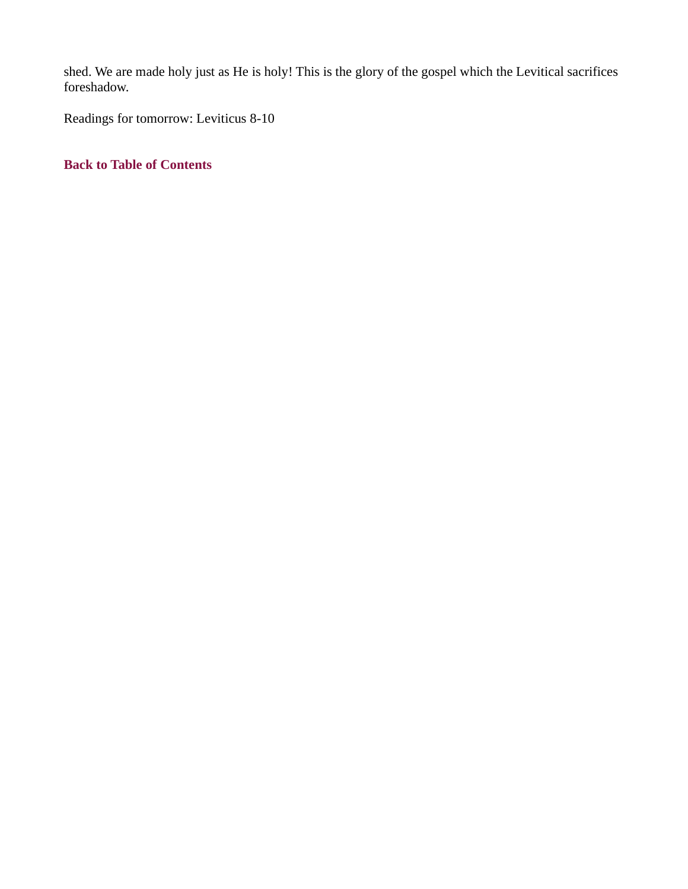shed. We are made holy just as He is holy! This is the glory of the gospel which the Levitical sacrifices foreshadow.

Readings for tomorrow: Leviticus 8-10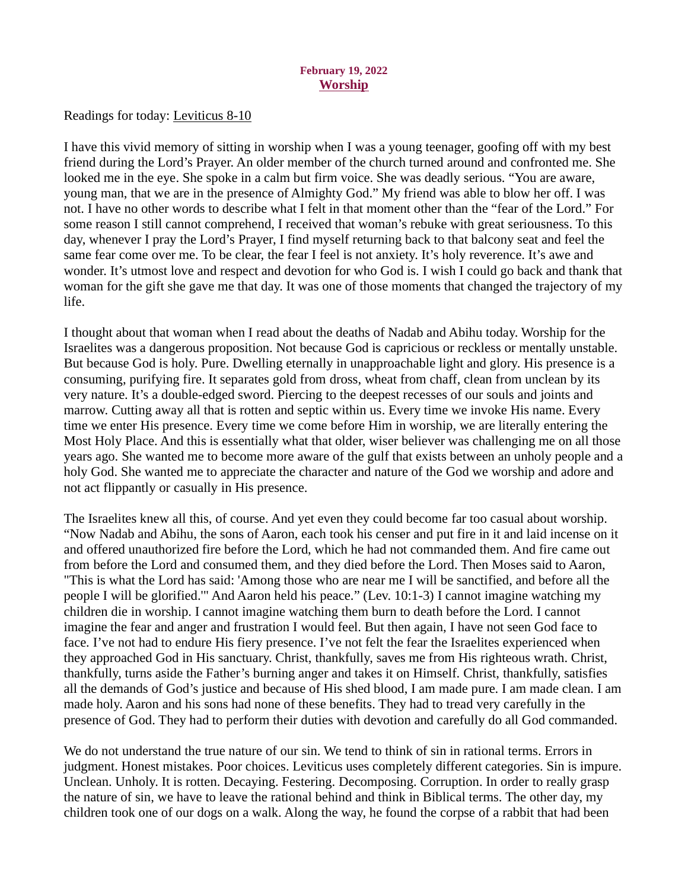#### February 19, 2022 **Worship**

<span id="page-31-0"></span>[Readings for today: Leviticus 8-10](https://www.biblegateway.com/passage/?search=Leviticus+8-10&version=ESV)

I have this vivid memory of sitting in worship when I was a young teenager, goofing off with my best friend during the Lord's Prayer. An older member of the church turned around and confronted me. She looked me in the eye. She spoke in a calm but firm voice. She was deadly serious. "You are aware, young man, that we are in the presence of Almighty God." My friend was able to blow her off. I was not. I have no other words to describe what I felt in that moment other than the "fear of the Lord." For some reason I still cannot comprehend, I received that woman's rebuke with great seriousness. To this day, whenever I pray the Lord's Prayer, I find myself returning back to that balcony seat and feel the same fear come over me. To be clear, the fear I feel is not anxiety. It's holy reverence. It's awe and wonder. It's utmost love and respect and devotion for who God is. I wish I could go back and thank that woman for the gift she gave me that day. It was one of those moments that changed the trajectory of my life.

I thought about that woman when I read about the deaths of Nadab and Abihu today. Worship for the Israelites was a dangerous proposition. Not because God is capricious or reckless or mentally unstable. But because God is holy. Pure. Dwelling eternally in unapproachable light and glory. His presence is a consuming, purifying fire. It separates gold from dross, wheat from chaff, clean from unclean by its very nature. It's a double-edged sword. Piercing to the deepest recesses of our souls and joints and marrow. Cutting away all that is rotten and septic within us. Every time we invoke His name. Every time we enter His presence. Every time we come before Him in worship, we are literally entering the Most Holy Place. And this is essentially what that older, wiser believer was challenging me on all those years ago. She wanted me to become more aware of the gulf that exists between an unholy people and a holy God. She wanted me to appreciate the character and nature of the God we worship and adore and not act flippantly or casually in His presence.

The Israelites knew all this, of course. And yet even they could become far too casual about worship. "Now Nadab and Abihu, the sons of Aaron, each took his censer and put fire in it and laid incense on it and offered unauthorized fire before the Lord, which he had not commanded them. And fire came out from before the Lord and consumed them, and they died before the Lord. Then Moses said to Aaron, "This is what the Lord has said: 'Among those who are near me I will be sanctified, and before all the people I will be glorified.'" And Aaron held his peace." (Lev. 10:1-3) I cannot imagine watching my children die in worship. I cannot imagine watching them burn to death before the Lord. I cannot imagine the fear and anger and frustration I would feel. But then again, I have not seen God face to face. I've not had to endure His fiery presence. I've not felt the fear the Israelites experienced when they approached God in His sanctuary. Christ, thankfully, saves me from His righteous wrath. Christ, thankfully, turns aside the Father's burning anger and takes it on Himself. Christ, thankfully, satisfies all the demands of God's justice and because of His shed blood, I am made pure. I am made clean. I am made holy. Aaron and his sons had none of these benefits. They had to tread very carefully in the presence of God. They had to perform their duties with devotion and carefully do all God commanded.

We do not understand the true nature of our sin. We tend to think of sin in rational terms. Errors in judgment. Honest mistakes. Poor choices. Leviticus uses completely different categories. Sin is impure. Unclean. Unholy. It is rotten. Decaying. Festering. Decomposing. Corruption. In order to really grasp the nature of sin, we have to leave the rational behind and think in Biblical terms. The other day, my children took one of our dogs on a walk. Along the way, he found the corpse of a rabbit that had been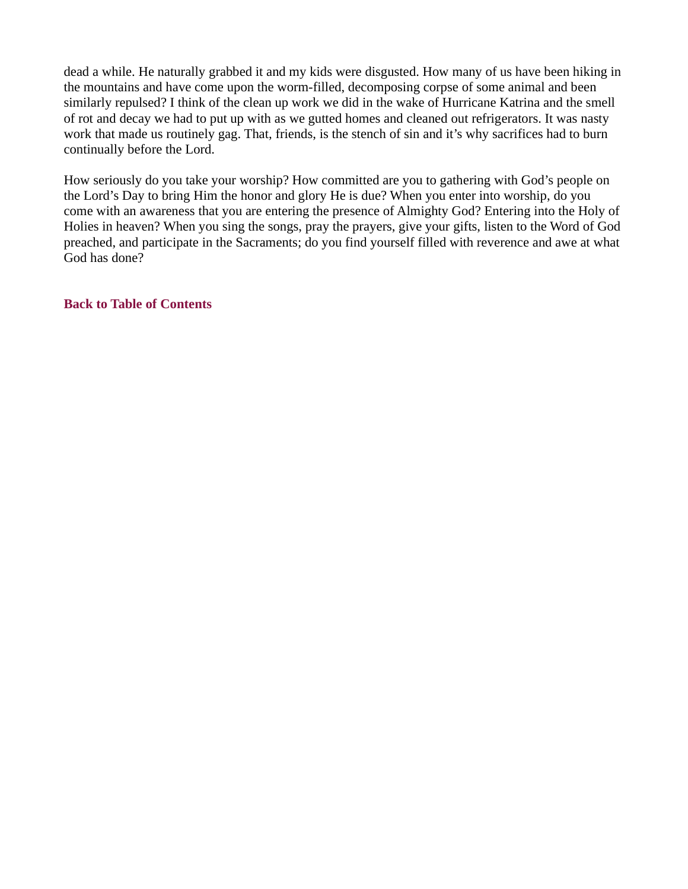dead a while. He naturally grabbed it and my kids were disgusted. How many of us have been hiking in the mountains and have come upon the worm-filled, decomposing corpse of some animal and been similarly repulsed? I think of the clean up work we did in the wake of Hurricane Katrina and the smell of rot and decay we had to put up with as we gutted homes and cleaned out refrigerators. It was nasty work that made us routinely gag. That, friends, is the stench of sin and it's why sacrifices had to burn continually before the Lord.

How seriously do you take your worship? How committed are you to gathering with God's people on the Lord's Day to bring Him the honor and glory He is due? When you enter into worship, do you come with an awareness that you are entering the presence of Almighty God? Entering into the Holy of Holies in heaven? When you sing the songs, pray the prayers, give your gifts, listen to the Word of God preached, and participate in the Sacraments; do you find yourself filled with reverence and awe at what God has done?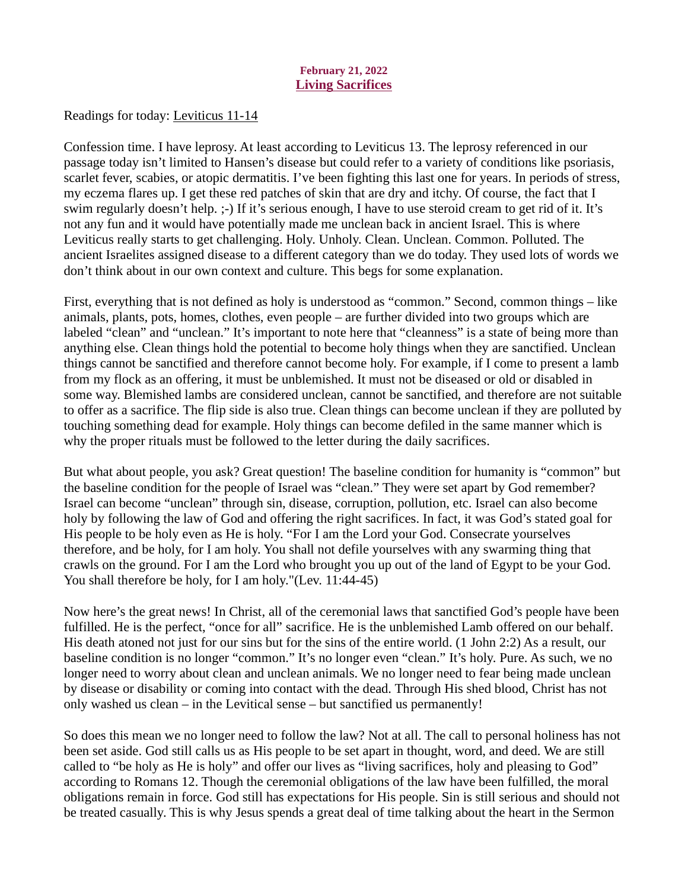## February 21, 2022 Living Sacrifices

<span id="page-33-0"></span>[Readings for today: Leviticus 11-14](https://www.biblegateway.com/passage/?search=Leviticus+11-14&version=ESV)

Confession time. I have leprosy. At least according to Leviticus 13. The leprosy referenced in our passage today isn't limited to Hansen's disease but could refer to a variety of conditions like psoriasis, scarlet fever, scabies, or atopic dermatitis. I've been fighting this last one for years. In periods of stress, my eczema flares up. I get these red patches of skin that are dry and itchy. Of course, the fact that I swim regularly doesn't help. ;-) If it's serious enough, I have to use steroid cream to get rid of it. It's not any fun and it would have potentially made me unclean back in ancient Israel. This is where Leviticus really starts to get challenging. Holy. Unholy. Clean. Unclean. Common. Polluted. The ancient Israelites assigned disease to a different category than we do today. They used lots of words we don't think about in our own context and culture. This begs for some explanation.

First, everything that is not defined as holy is understood as "common." Second, common things – like animals, plants, pots, homes, clothes, even people – are further divided into two groups which are labeled "clean" and "unclean." It's important to note here that "cleanness" is a state of being more than anything else. Clean things hold the potential to become holy things when they are sanctified. Unclean things cannot be sanctified and therefore cannot become holy. For example, if I come to present a lamb from my flock as an offering, it must be unblemished. It must not be diseased or old or disabled in some way. Blemished lambs are considered unclean, cannot be sanctified, and therefore are not suitable to offer as a sacrifice. The flip side is also true. Clean things can become unclean if they are polluted by touching something dead for example. Holy things can become defiled in the same manner which is why the proper rituals must be followed to the letter during the daily sacrifices.

But what about people, you ask? Great question! The baseline condition for humanity is "common" but the baseline condition for the people of Israel was "clean." They were set apart by God remember? Israel can become "unclean" through sin, disease, corruption, pollution, etc. Israel can also become holy by following the law of God and offering the right sacrifices. In fact, it was God's stated goal for His people to be holy even as He is holy. "For I am the Lord your God. Consecrate yourselves therefore, and be holy, for I am holy. You shall not defile yourselves with any swarming thing that crawls on the ground. For I am the Lord who brought you up out of the land of Egypt to be your God. You shall therefore be holy, for I am holy."(Lev. 11:44-45)

Now here's the great news! In Christ, all of the ceremonial laws that sanctified God's people have been fulfilled. He is the perfect, "once for all" sacrifice. He is the unblemished Lamb offered on our behalf. His death atoned not just for our sins but for the sins of the entire world. (1 John 2:2) As a result, our baseline condition is no longer "common." It's no longer even "clean." It's holy. Pure. As such, we no longer need to worry about clean and unclean animals. We no longer need to fear being made unclean by disease or disability or coming into contact with the dead. Through His shed blood, Christ has not only washed us clean – in the Levitical sense – but sanctified us permanently!

So does this mean we no longer need to follow the law? Not at all. The call to personal holiness has not been set aside. God still calls us as His people to be set apart in thought, word, and deed. We are still called to "be holy as He is holy" and offer our lives as "living sacrifices, holy and pleasing to God" according to Romans 12. Though the ceremonial obligations of the law have been fulfilled, the moral obligations remain in force. God still has expectations for His people. Sin is still serious and should not be treated casually. This is why Jesus spends a great deal of time talking about the heart in the Sermon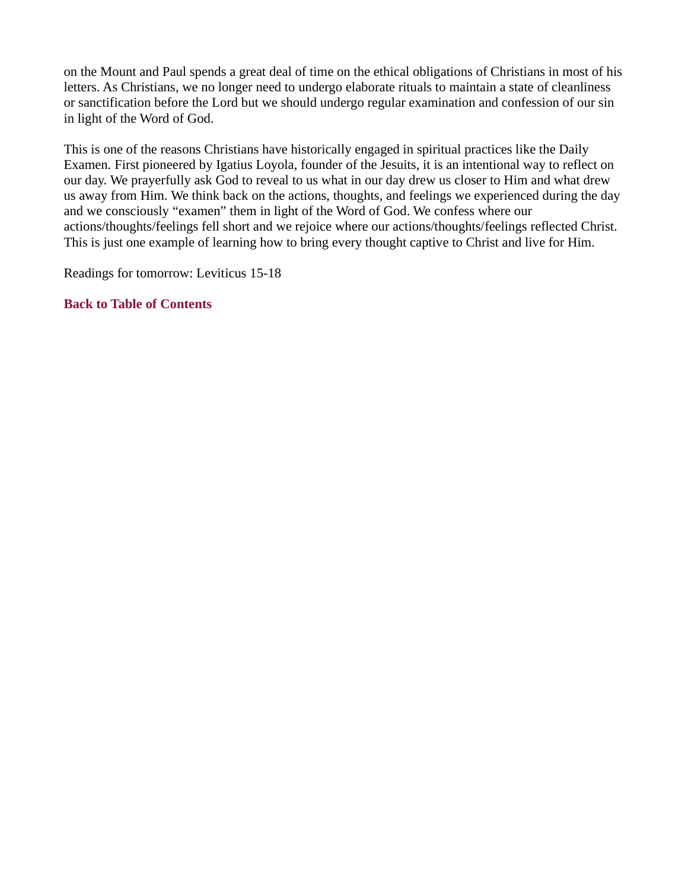on the Mount and Paul spends a great deal of time on the ethical obligations of Christians in most of his letters. As Christians, we no longer need to undergo elaborate rituals to maintain a state of cleanliness or sanctification before the Lord but we should undergo regular examination and confession of our sin in light of the Word of God.

This is one of the reasons Christians have historically engaged in spiritual practices like the Daily Examen. First pioneered by Igatius Loyola, founder of the Jesuits, it is an intentional way to reflect on our day. We prayerfully ask God to reveal to us what in our day drew us closer to Him and what drew us away from Him. We think back on the actions, thoughts, and feelings we experienced during the day and we consciously "examen" them in light of the Word of God. We confess where our actions/thoughts/feelings fell short and we rejoice where our actions/thoughts/feelings reflected Christ. This is just one example of learning how to bring every thought captive to Christ and live for Him.

Readings for tomorrow: Leviticus 15-18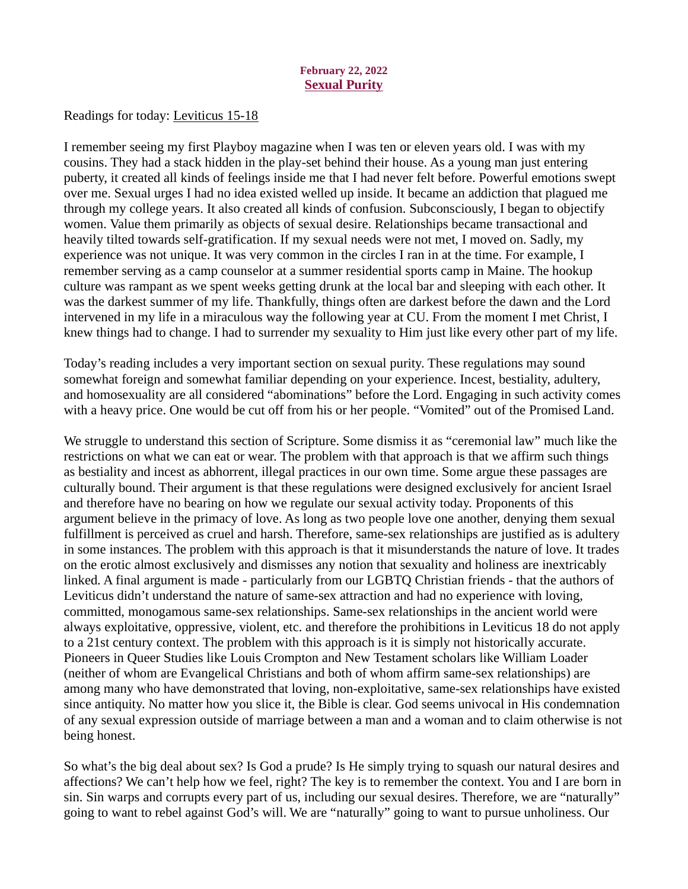## February 22, 2022 **Sexual Purity**

<span id="page-35-0"></span>[Readings for today: Leviticus 15-18](https://www.biblegateway.com/passage/?search=Leviticus+15-18&version=ESV)

I remember seeing my first Playboy magazine when I was ten or eleven years old. I was with my cousins. They had a stack hidden in the play-set behind their house. As a young man just entering puberty, it created all kinds of feelings inside me that I had never felt before. Powerful emotions swept over me. Sexual urges I had no idea existed welled up inside. It became an addiction that plagued me through my college years. It also created all kinds of confusion. Subconsciously, I began to objectify women. Value them primarily as objects of sexual desire. Relationships became transactional and heavily tilted towards self-gratification. If my sexual needs were not met, I moved on. Sadly, my experience was not unique. It was very common in the circles I ran in at the time. For example, I remember serving as a camp counselor at a summer residential sports camp in Maine. The hookup culture was rampant as we spent weeks getting drunk at the local bar and sleeping with each other. It was the darkest summer of my life. Thankfully, things often are darkest before the dawn and the Lord intervened in my life in a miraculous way the following year at CU. From the moment I met Christ, I knew things had to change. I had to surrender my sexuality to Him just like every other part of my life.

Today's reading includes a very important section on sexual purity. These regulations may sound somewhat foreign and somewhat familiar depending on your experience. Incest, bestiality, adultery, and homosexuality are all considered "abominations" before the Lord. Engaging in such activity comes with a heavy price. One would be cut off from his or her people. "Vomited" out of the Promised Land.

We struggle to understand this section of Scripture. Some dismiss it as "ceremonial law" much like the restrictions on what we can eat or wear. The problem with that approach is that we affirm such things as bestiality and incest as abhorrent, illegal practices in our own time. Some argue these passages are culturally bound. Their argument is that these regulations were designed exclusively for ancient Israel and therefore have no bearing on how we regulate our sexual activity today. Proponents of this argument believe in the primacy of love. As long as two people love one another, denying them sexual fulfillment is perceived as cruel and harsh. Therefore, same-sex relationships are justified as is adultery in some instances. The problem with this approach is that it misunderstands the nature of love. It trades on the erotic almost exclusively and dismisses any notion that sexuality and holiness are inextricably linked. A final argument is made - particularly from our LGBTQ Christian friends - that the authors of Leviticus didn't understand the nature of same-sex attraction and had no experience with loving, committed, monogamous same-sex relationships. Same-sex relationships in the ancient world were always exploitative, oppressive, violent, etc. and therefore the prohibitions in Leviticus 18 do not apply to a 21st century context. The problem with this approach is it is simply not historically accurate. Pioneers in Queer Studies like Louis Crompton and New Testament scholars like William Loader (neither of whom are Evangelical Christians and both of whom affirm same-sex relationships) are among many who have demonstrated that loving, non-exploitative, same-sex relationships have existed since antiquity. No matter how you slice it, the Bible is clear. God seems univocal in His condemnation of any sexual expression outside of marriage between a man and a woman and to claim otherwise is not being honest.

So what's the big deal about sex? Is God a prude? Is He simply trying to squash our natural desires and affections? We can't help how we feel, right? The key is to remember the context. You and I are born in sin. Sin warps and corrupts every part of us, including our sexual desires. Therefore, we are "naturally" going to want to rebel against God's will. We are "naturally" going to want to pursue unholiness. Our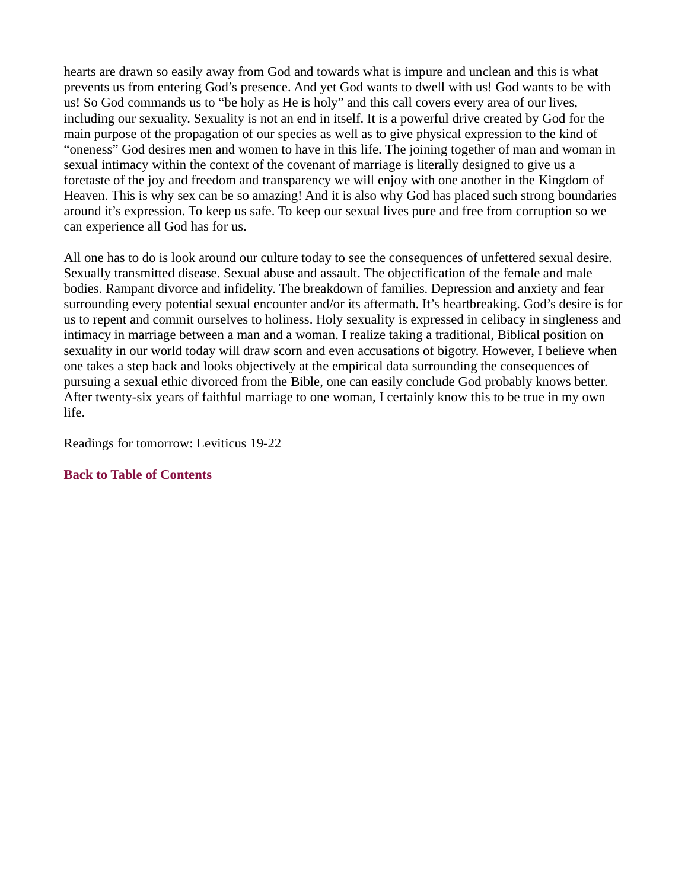hearts are drawn so easily away from God and towards what is impure and unclean and this is what prevents us from entering God's presence. And yet God wants to dwell with us! God wants to be with us! So God commands us to "be holy as He is holy" and this call covers every area of our lives, including our sexuality. Sexuality is not an end in itself. It is a powerful drive created by God for the main purpose of the propagation of our species as well as to give physical expression to the kind of "oneness" God desires men and women to have in this life. The joining together of man and woman in sexual intimacy within the context of the covenant of marriage is literally designed to give us a foretaste of the joy and freedom and transparency we will enjoy with one another in the Kingdom of Heaven. This is why sex can be so amazing! And it is also why God has placed such strong boundaries around it's expression. To keep us safe. To keep our sexual lives pure and free from corruption so we can experience all God has for us.

All one has to do is look around our culture today to see the consequences of unfettered sexual desire. Sexually transmitted disease. Sexual abuse and assault. The objectification of the female and male bodies. Rampant divorce and infidelity. The breakdown of families. Depression and anxiety and fear surrounding every potential sexual encounter and/or its aftermath. It's heartbreaking. God's desire is for us to repent and commit ourselves to holiness. Holy sexuality is expressed in celibacy in singleness and intimacy in marriage between a man and a woman. I realize taking a traditional, Biblical position on sexuality in our world today will draw scorn and even accusations of bigotry. However, I believe when one takes a step back and looks objectively at the empirical data surrounding the consequences of pursuing a sexual ethic divorced from the Bible, one can easily conclude God probably knows better. After twenty-six years of faithful marriage to one woman, I certainly know this to be true in my own life.

Readings for tomorrow: Leviticus 19-22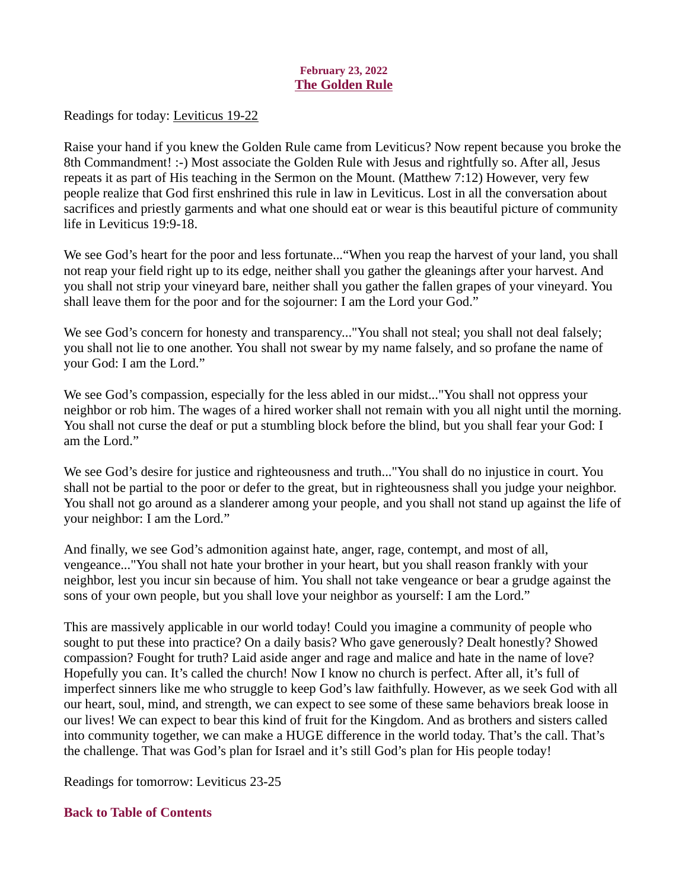## February 23, 2022 The Golden Rule

<span id="page-37-0"></span>[Readings for today: Leviticus 19-22](https://www.biblegateway.com/passage/?search=Leviticus+19-22&version=ESV)

Raise your hand if you knew the Golden Rule came from Leviticus? Now repent because you broke the 8th Commandment! :-) Most associate the Golden Rule with Jesus and rightfully so. After all, Jesus repeats it as part of His teaching in the Sermon on the Mount. (Matthew 7:12) However, very few people realize that God first enshrined this rule in law in Leviticus. Lost in all the conversation about sacrifices and priestly garments and what one should eat or wear is this beautiful picture of community life in Leviticus 19:9-18.

We see God's heart for the poor and less fortunate..."When you reap the harvest of your land, you shall not reap your field right up to its edge, neither shall you gather the gleanings after your harvest. And you shall not strip your vineyard bare, neither shall you gather the fallen grapes of your vineyard. You shall leave them for the poor and for the sojourner: I am the Lord your God."

We see God's concern for honesty and transparency..."You shall not steal; you shall not deal falsely; you shall not lie to one another. You shall not swear by my name falsely, and so profane the name of your God: I am the Lord."

We see God's compassion, especially for the less abled in our midst..."You shall not oppress your neighbor or rob him. The wages of a hired worker shall not remain with you all night until the morning. You shall not curse the deaf or put a stumbling block before the blind, but you shall fear your God: I am the Lord."

We see God's desire for justice and righteousness and truth..."You shall do no injustice in court. You shall not be partial to the poor or defer to the great, but in righteousness shall you judge your neighbor. You shall not go around as a slanderer among your people, and you shall not stand up against the life of your neighbor: I am the Lord."

And finally, we see God's admonition against hate, anger, rage, contempt, and most of all, vengeance..."You shall not hate your brother in your heart, but you shall reason frankly with your neighbor, lest you incur sin because of him. You shall not take vengeance or bear a grudge against the sons of your own people, but you shall love your neighbor as yourself: I am the Lord."

This are massively applicable in our world today! Could you imagine a community of people who sought to put these into practice? On a daily basis? Who gave generously? Dealt honestly? Showed compassion? Fought for truth? Laid aside anger and rage and malice and hate in the name of love? Hopefully you can. It's called the church! Now I know no church is perfect. After all, it's full of imperfect sinners like me who struggle to keep God's law faithfully. However, as we seek God with all our heart, soul, mind, and strength, we can expect to see some of these same behaviors break loose in our lives! We can expect to bear this kind of fruit for the Kingdom. And as brothers and sisters called into community together, we can make a HUGE difference in the world today. That's the call. That's the challenge. That was God's plan for Israel and it's still God's plan for His people today!

Readings for tomorrow: Leviticus 23-25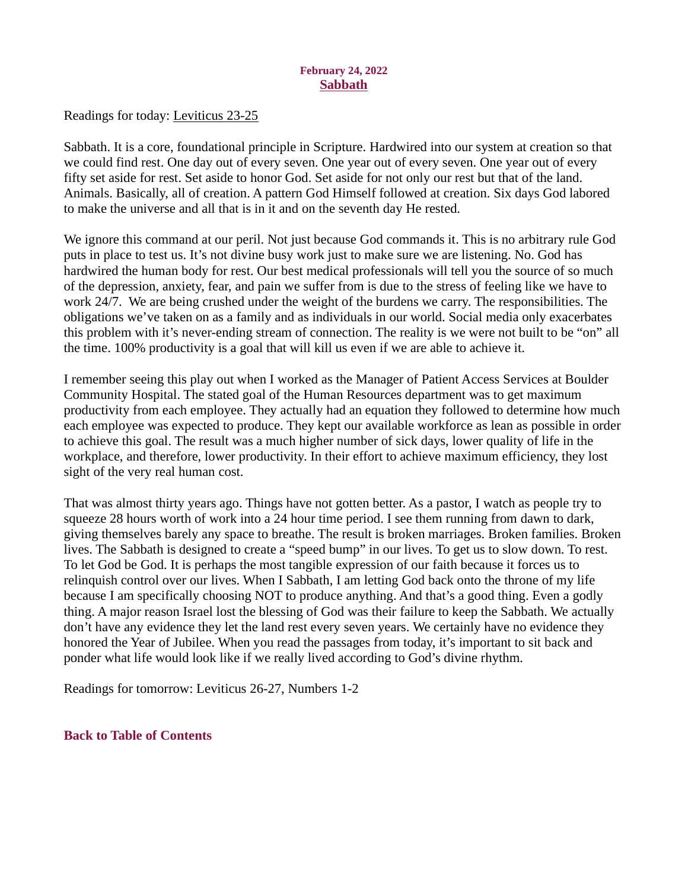### February 24, 2022 **Sabbath**

<span id="page-38-0"></span>[Readings for today: Leviticus 23-25](https://www.biblegateway.com/passage/?search=Leviticus+23-25&version=ESV)

Sabbath. It is a core, foundational principle in Scripture. Hardwired into our system at creation so that we could find rest. One day out of every seven. One year out of every seven. One year out of every fifty set aside for rest. Set aside to honor God. Set aside for not only our rest but that of the land. Animals. Basically, all of creation. A pattern God Himself followed at creation. Six days God labored to make the universe and all that is in it and on the seventh day He rested.

We ignore this command at our peril. Not just because God commands it. This is no arbitrary rule God puts in place to test us. It's not divine busy work just to make sure we are listening. No. God has hardwired the human body for rest. Our best medical professionals will tell you the source of so much of the depression, anxiety, fear, and pain we suffer from is due to the stress of feeling like we have to work 24/7. We are being crushed under the weight of the burdens we carry. The responsibilities. The obligations we've taken on as a family and as individuals in our world. Social media only exacerbates this problem with it's never-ending stream of connection. The reality is we were not built to be "on" all the time. 100% productivity is a goal that will kill us even if we are able to achieve it.

I remember seeing this play out when I worked as the Manager of Patient Access Services at Boulder Community Hospital. The stated goal of the Human Resources department was to get maximum productivity from each employee. They actually had an equation they followed to determine how much each employee was expected to produce. They kept our available workforce as lean as possible in order to achieve this goal. The result was a much higher number of sick days, lower quality of life in the workplace, and therefore, lower productivity. In their effort to achieve maximum efficiency, they lost sight of the very real human cost.

That was almost thirty years ago. Things have not gotten better. As a pastor, I watch as people try to squeeze 28 hours worth of work into a 24 hour time period. I see them running from dawn to dark, giving themselves barely any space to breathe. The result is broken marriages. Broken families. Broken lives. The Sabbath is designed to create a "speed bump" in our lives. To get us to slow down. To rest. To let God be God. It is perhaps the most tangible expression of our faith because it forces us to relinquish control over our lives. When I Sabbath, I am letting God back onto the throne of my life because I am specifically choosing NOT to produce anything. And that's a good thing. Even a godly thing. A major reason Israel lost the blessing of God was their failure to keep the Sabbath. We actually don't have any evidence they let the land rest every seven years. We certainly have no evidence they honored the Year of Jubilee. When you read the passages from today, it's important to sit back and ponder what life would look like if we really lived according to God's divine rhythm.

Readings for tomorrow: Leviticus 26-27, Numbers 1-2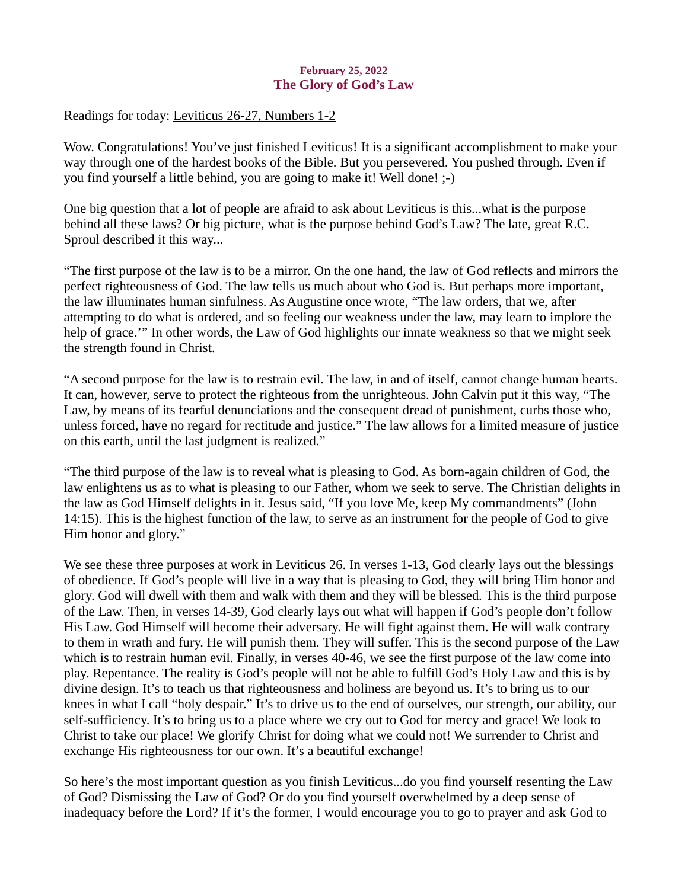## February 25, 2022 The Glory of God's Law

<span id="page-39-0"></span>[Readings for today: Leviticus 26-27, Numbers 1-2](https://www.biblegateway.com/passage/?search=Leviticus+26-27%2C+Numbers+1-2&version=ESV)

Wow. Congratulations! You've just finished Leviticus! It is a significant accomplishment to make your way through one of the hardest books of the Bible. But you persevered. You pushed through. Even if you find yourself a little behind, you are going to make it! Well done! ;-)

One big question that a lot of people are afraid to ask about Leviticus is this...what is the purpose behind all these laws? Or big picture, what is the purpose behind God's Law? The late, great R.C. Sproul described it this way...

"The first purpose of the law is to be a mirror. On the one hand, the law of God reflects and mirrors the perfect righteousness of God. The law tells us much about who God is. But perhaps more important, the law illuminates human sinfulness. As Augustine once wrote, "The law orders, that we, after attempting to do what is ordered, and so feeling our weakness under the law, may learn to implore the help of grace.'" In other words, the Law of God highlights our innate weakness so that we might seek the strength found in Christ.

"A second purpose for the law is to restrain evil. The law, in and of itself, cannot change human hearts. It can, however, serve to protect the righteous from the unrighteous. John Calvin put it this way, "The Law, by means of its fearful denunciations and the consequent dread of punishment, curbs those who, unless forced, have no regard for rectitude and justice." The law allows for a limited measure of justice on this earth, until the last judgment is realized."

"The third purpose of the law is to reveal what is pleasing to God. As born-again children of God, the law enlightens us as to what is pleasing to our Father, whom we seek to serve. The Christian delights in the law as God Himself delights in it. Jesus said, "If you love Me, keep My commandments" (John 14:15). This is the highest function of the law, to serve as an instrument for the people of God to give Him honor and glory."

We see these three purposes at work in Leviticus 26. In verses 1-13, God clearly lays out the blessings of obedience. If God's people will live in a way that is pleasing to God, they will bring Him honor and glory. God will dwell with them and walk with them and they will be blessed. This is the third purpose of the Law. Then, in verses 14-39, God clearly lays out what will happen if God's people don't follow His Law. God Himself will become their adversary. He will fight against them. He will walk contrary to them in wrath and fury. He will punish them. They will suffer. This is the second purpose of the Law which is to restrain human evil. Finally, in verses 40-46, we see the first purpose of the law come into play. Repentance. The reality is God's people will not be able to fulfill God's Holy Law and this is by divine design. It's to teach us that righteousness and holiness are beyond us. It's to bring us to our knees in what I call "holy despair." It's to drive us to the end of ourselves, our strength, our ability, our self-sufficiency. It's to bring us to a place where we cry out to God for mercy and grace! We look to Christ to take our place! We glorify Christ for doing what we could not! We surrender to Christ and exchange His righteousness for our own. It's a beautiful exchange!

So here's the most important question as you finish Leviticus...do you find yourself resenting the Law of God? Dismissing the Law of God? Or do you find yourself overwhelmed by a deep sense of inadequacy before the Lord? If it's the former, I would encourage you to go to prayer and ask God to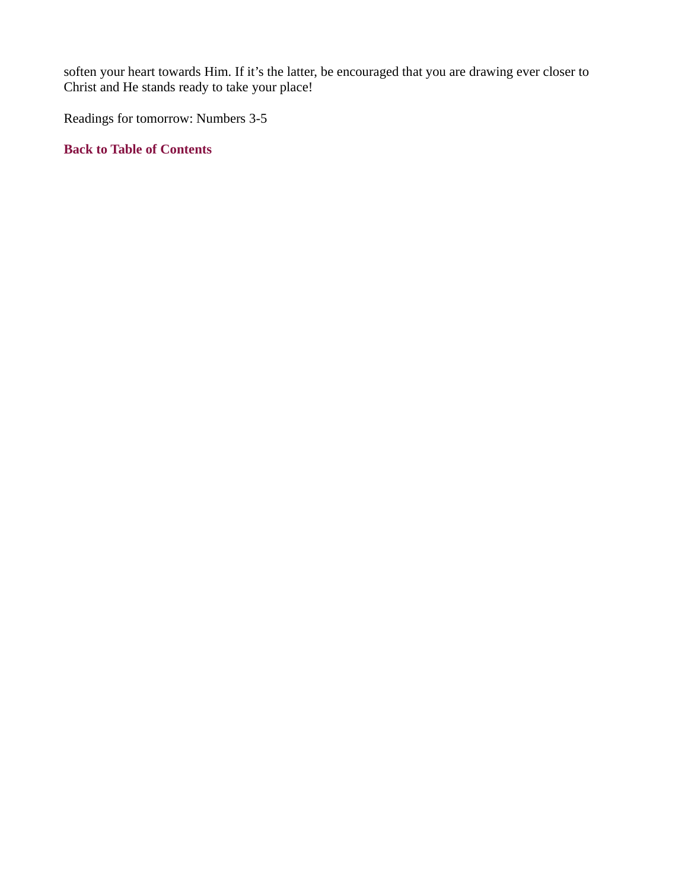soften your heart towards Him. If it's the latter, be encouraged that you are drawing ever closer to Christ and He stands ready to take your place!

Readings for tomorrow: Numbers 3-5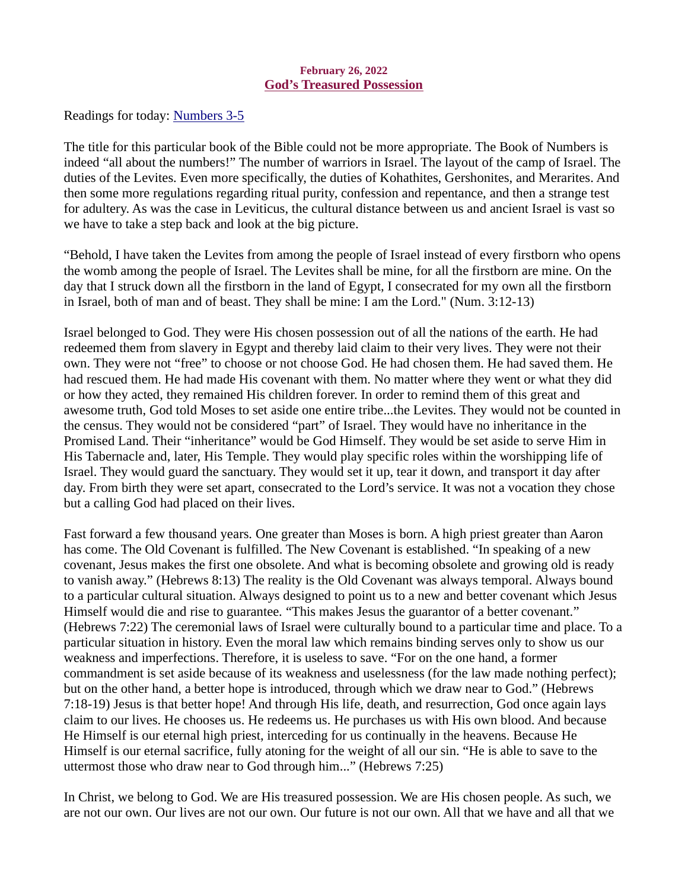#### February 26, 2022 God's Treasured Possession

<span id="page-41-0"></span>[Readings for today: Numbers 3-5](https://www.biblegateway.com/passage/?search=Numbers+3-5&version=ESV)

The title for this particular book of the Bible could not be more appropriate. The Book of Numbers is indeed "all about the numbers!" The number of warriors in Israel. The layout of the camp of Israel. The duties of the Levites. Even more specifically, the duties of Kohathites, Gershonites, and Merarites. And then some more regulations regarding ritual purity, confession and repentance, and then a strange test for adultery. As was the case in Leviticus, the cultural distance between us and ancient Israel is vast so we have to take a step back and look at the big picture.

"Behold, I have taken the Levites from among the people of Israel instead of every firstborn who opens the womb among the people of Israel. The Levites shall be mine, for all the firstborn are mine. On the day that I struck down all the firstborn in the land of Egypt, I consecrated for my own all the firstborn in Israel, both of man and of beast. They shall be mine: I am the Lord." (Num. 3:12-13)

Israel belonged to God. They were His chosen possession out of all the nations of the earth. He had redeemed them from slavery in Egypt and thereby laid claim to their very lives. They were not their own. They were not "free" to choose or not choose God. He had chosen them. He had saved them. He had rescued them. He had made His covenant with them. No matter where they went or what they did or how they acted, they remained His children forever. In order to remind them of this great and awesome truth, God told Moses to set aside one entire tribe...the Levites. They would not be counted in the census. They would not be considered "part" of Israel. They would have no inheritance in the Promised Land. Their "inheritance" would be God Himself. They would be set aside to serve Him in His Tabernacle and, later, His Temple. They would play specific roles within the worshipping life of Israel. They would guard the sanctuary. They would set it up, tear it down, and transport it day after day. From birth they were set apart, consecrated to the Lord's service. It was not a vocation they chose but a calling God had placed on their lives.

Fast forward a few thousand years. One greater than Moses is born. A high priest greater than Aaron has come. The Old Covenant is fulfilled. The New Covenant is established. "In speaking of a new covenant, Jesus makes the first one obsolete. And what is becoming obsolete and growing old is ready to vanish away." (Hebrews 8:13) The reality is the Old Covenant was always temporal. Always bound to a particular cultural situation. Always designed to point us to a new and better covenant which Jesus Himself would die and rise to guarantee. "This makes Jesus the guarantor of a better covenant." (Hebrews 7:22) The ceremonial laws of Israel were culturally bound to a particular time and place. To a particular situation in history. Even the moral law which remains binding serves only to show us our weakness and imperfections. Therefore, it is useless to save. "For on the one hand, a former commandment is set aside because of its weakness and uselessness (for the law made nothing perfect); but on the other hand, a better hope is introduced, through which we draw near to God." (Hebrews 7:18-19) Jesus is that better hope! And through His life, death, and resurrection, God once again lays claim to our lives. He chooses us. He redeems us. He purchases us with His own blood. And because He Himself is our eternal high priest, interceding for us continually in the heavens. Because He Himself is our eternal sacrifice, fully atoning for the weight of all our sin. "He is able to save to the uttermost those who draw near to God through him..." (Hebrews 7:25)

In Christ, we belong to God. We are His treasured possession. We are His chosen people. As such, we are not our own. Our lives are not our own. Our future is not our own. All that we have and all that we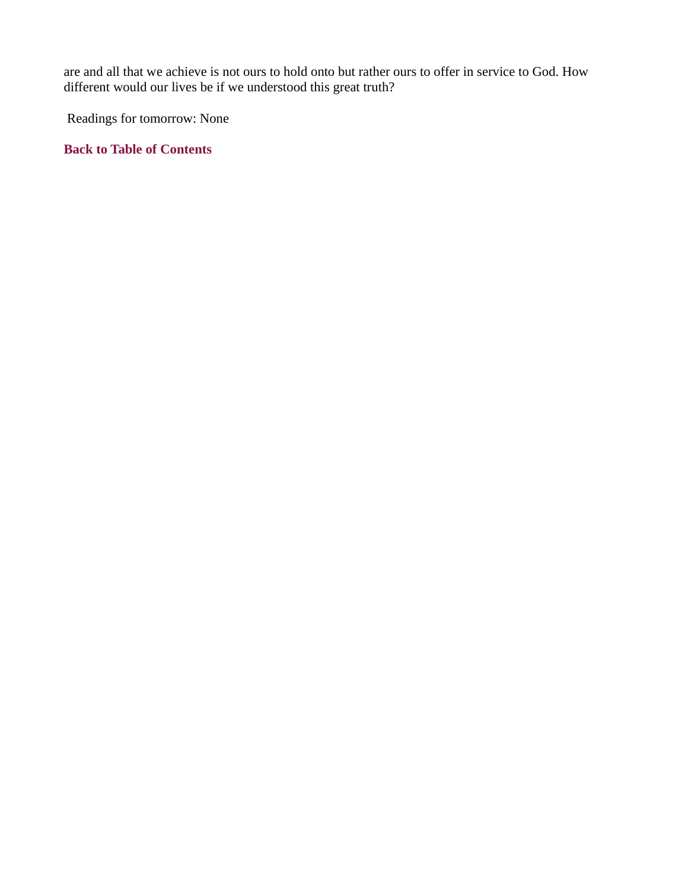are and all that we achieve is not ours to hold onto but rather ours to offer in service to God. How different would our lives be if we understood this great truth?

Readings for tomorrow: None